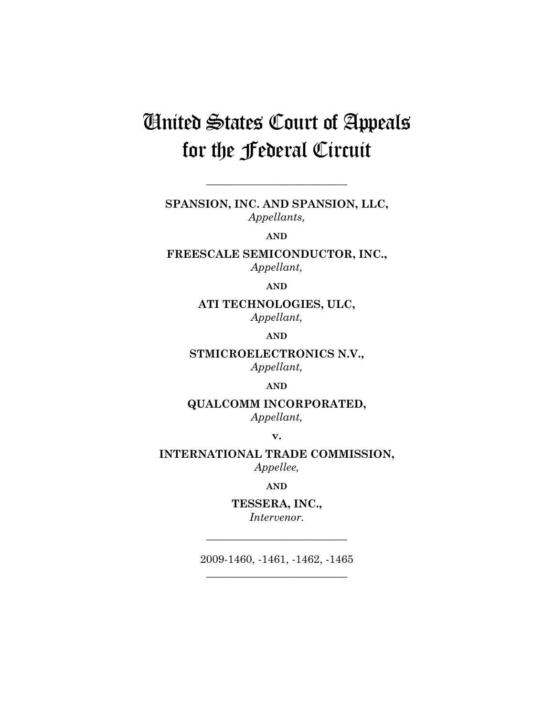# United States Court of Appeals for the Federal Circuit

**SPANSION, INC. AND SPANSION, LLC,**  *Appellants,* 

**\_\_\_\_\_\_\_\_\_\_\_\_\_\_\_\_\_\_\_\_\_\_\_\_\_\_** 

**AND**

**FREESCALE SEMICONDUCTOR, INC.,**  *Appellant,* 

**AND**

**ATI TECHNOLOGIES, ULC,**  *Appellant,* 

**AND**

**STMICROELECTRONICS N.V.,**  *Appellant,* 

**AND**

**QUALCOMM INCORPORATED,** 

*Appellant,* 

**v.** 

**INTERNATIONAL TRADE COMMISSION,**  *Appellee,* 

**AND**

**TESSERA, INC.,**  *Intervenor.* 

**\_\_\_\_\_\_\_\_\_\_\_\_\_\_\_\_\_\_\_\_\_\_\_\_\_\_** 

2009-1460, -1461, -1462, -1465 **\_\_\_\_\_\_\_\_\_\_\_\_\_\_\_\_\_\_\_\_\_\_\_\_\_\_**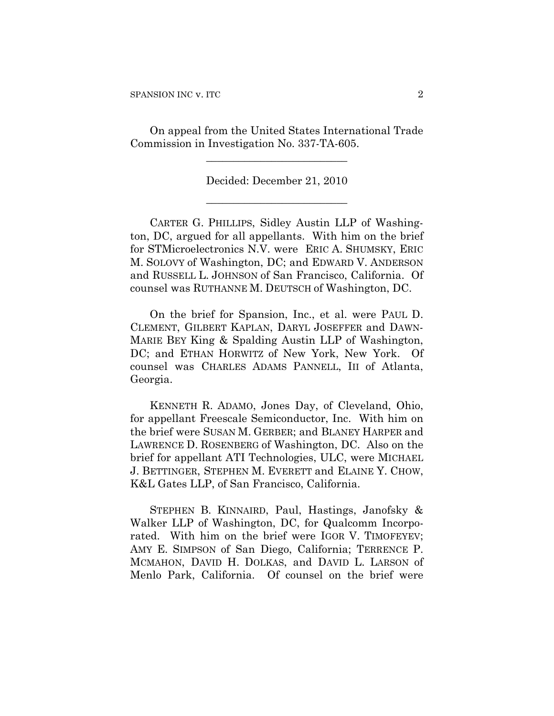On appeal from the United States International Trade Commission in Investigation No. 337-TA-605.

> Decided: December 21, 2010 **\_\_\_\_\_\_\_\_\_\_\_\_\_\_\_\_\_\_\_\_\_\_\_\_\_\_**

**\_\_\_\_\_\_\_\_\_\_\_\_\_\_\_\_\_\_\_\_\_\_\_\_\_\_** 

CARTER G. PHILLIPS, Sidley Austin LLP of Washington, DC, argued for all appellants. With him on the brief for STMicroelectronics N.V. were ERIC A. SHUMSKY, ERIC M. SOLOVY of Washington, DC; and EDWARD V. ANDERSON and RUSSELL L. JOHNSON of San Francisco, California. Of counsel was RUTHANNE M. DEUTSCH of Washington, DC.

On the brief for Spansion, Inc., et al. were PAUL D. CLEMENT, GILBERT KAPLAN, DARYL JOSEFFER and DAWN-MARIE BEY King & Spalding Austin LLP of Washington, DC; and ETHAN HORWITZ of New York, New York. Of counsel was CHARLES ADAMS PANNELL, III of Atlanta, Georgia.

KENNETH R. ADAMO, Jones Day, of Cleveland, Ohio, for appellant Freescale Semiconductor, Inc. With him on the brief were SUSAN M. GERBER; and BLANEY HARPER and LAWRENCE D. ROSENBERG of Washington, DC. Also on the brief for appellant ATI Technologies, ULC, were MICHAEL J. BETTINGER, STEPHEN M. EVERETT and ELAINE Y. CHOW, K&L Gates LLP, of San Francisco, California.

STEPHEN B. KINNAIRD, Paul, Hastings, Janofsky & Walker LLP of Washington, DC, for Qualcomm Incorporated. With him on the brief were IGOR V. TIMOFEYEV; AMY E. SIMPSON of San Diego, California; TERRENCE P. MCMAHON, DAVID H. DOLKAS, and DAVID L. LARSON of Menlo Park, California. Of counsel on the brief were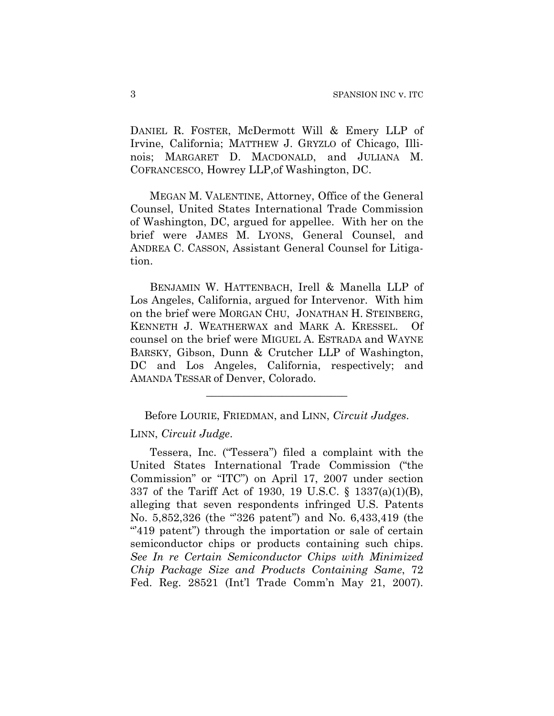DANIEL R. FOSTER, McDermott Will & Emery LLP of Irvine, California; MATTHEW J. GRYZLO of Chicago, Illinois; MARGARET D. MACDONALD, and JULIANA M. COFRANCESCO, Howrey LLP,of Washington, DC.

MEGAN M. VALENTINE, Attorney, Office of the General Counsel, United States International Trade Commission of Washington, DC, argued for appellee. With her on the brief were JAMES M. LYONS, General Counsel, and ANDREA C. CASSON, Assistant General Counsel for Litigation.

BENJAMIN W. HATTENBACH, Irell & Manella LLP of Los Angeles, California, argued for Intervenor. With him on the brief were MORGAN CHU, JONATHAN H. STEINBERG, KENNETH J. WEATHERWAX and MARK A. KRESSEL. Of counsel on the brief were MIGUEL A. ESTRADA and WAYNE BARSKY, Gibson, Dunn & Crutcher LLP of Washington, DC and Los Angeles, California, respectively; and AMANDA TESSAR of Denver, Colorado.

Before LOURIE, FRIEDMAN, and LINN, *Circuit Judges*.

**\_\_\_\_\_\_\_\_\_\_\_\_\_\_\_\_\_\_\_\_\_\_\_\_\_\_** 

# LINN, *Circuit Judge*.

Tessera, Inc. ("Tessera") filed a complaint with the United States International Trade Commission ("the Commission" or "ITC") on April 17, 2007 under section 337 of the Tariff Act of 1930, 19 U.S.C. § 1337(a)(1)(B), alleging that seven respondents infringed U.S. Patents No. 5,852,326 (the "326 patent") and No. 6,433,419 (the "419 patent") through the importation or sale of certain semiconductor chips or products containing such chips. *See In re Certain Semiconductor Chips with Minimized Chip Package Size and Products Containing Same*, 72 Fed. Reg. 28521 (Int'l Trade Comm'n May 21, 2007).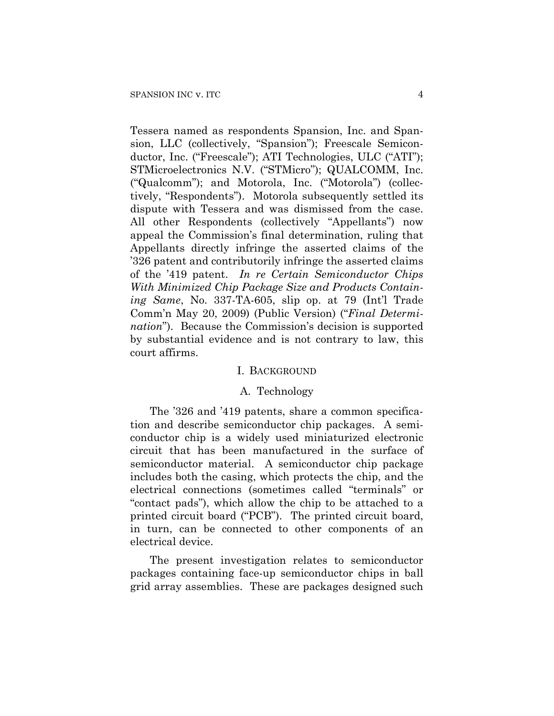Tessera named as respondents Spansion, Inc. and Spansion, LLC (collectively, "Spansion"); Freescale Semiconductor, Inc. ("Freescale"); ATI Technologies, ULC ("ATI"); STMicroelectronics N.V. ("STMicro"); QUALCOMM, Inc. ("Qualcomm"); and Motorola, Inc. ("Motorola") (collectively, "Respondents"). Motorola subsequently settled its dispute with Tessera and was dismissed from the case. All other Respondents (collectively "Appellants") now appeal the Commission's final determination, ruling that Appellants directly infringe the asserted claims of the '326 patent and contributorily infringe the asserted claims of the '419 patent. *In re Certain Semiconductor Chips With Minimized Chip Package Size and Products Containing Same*, No. 337-TA-605, slip op. at 79 (Int'l Trade Comm'n May 20, 2009) (Public Version) ("*Final Determination*"). Because the Commission's decision is supported by substantial evidence and is not contrary to law, this court affirms.

## I. BACKGROUND

## A. Technology

The '326 and '419 patents, share a common specification and describe semiconductor chip packages. A semiconductor chip is a widely used miniaturized electronic circuit that has been manufactured in the surface of semiconductor material. A semiconductor chip package includes both the casing, which protects the chip, and the electrical connections (sometimes called "terminals" or "contact pads"), which allow the chip to be attached to a printed circuit board ("PCB"). The printed circuit board, in turn, can be connected to other components of an electrical device.

The present investigation relates to semiconductor packages containing face-up semiconductor chips in ball grid array assemblies. These are packages designed such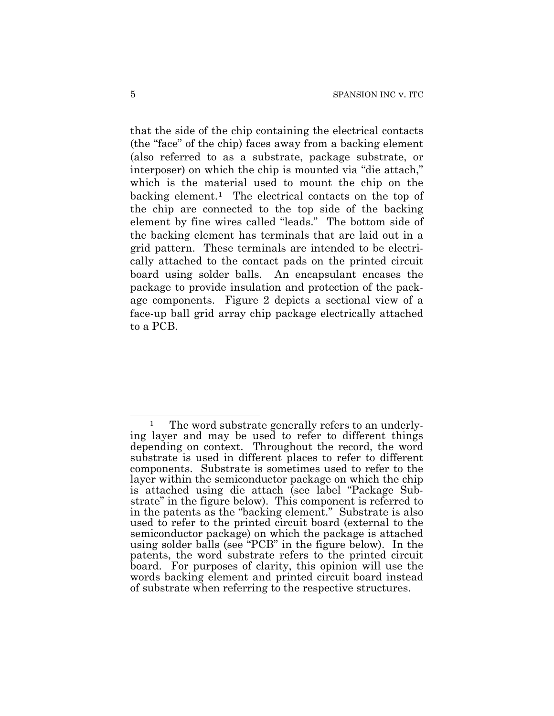that the side of the chip containing the electrical contacts (the "face" of the chip) faces away from a backing element (also referred to as a substrate, package substrate, or interposer) on which the chip is mounted via "die attach," which is the material used to mount the chip on the backing element.[1](#page-4-0) The electrical contacts on the top of the chip are connected to the top side of the backing element by fine wires called "leads." The bottom side of the backing element has terminals that are laid out in a grid pattern. These terminals are intended to be electrically attached to the contact pads on the printed circuit board using solder balls. An encapsulant encases the package to provide insulation and protection of the package components. Figure 2 depicts a sectional view of a face-up ball grid array chip package electrically attached to a PCB.

<span id="page-4-0"></span> $\overline{a}$ <sup>1</sup> The word substrate generally refers to an underlying layer and may be used to refer to different things depending on context. Throughout the record, the word substrate is used in different places to refer to different components. Substrate is sometimes used to refer to the layer within the semiconductor package on which the chip is attached using die attach (see label "Package Substrate" in the figure below). This component is referred to in the patents as the "backing element." Substrate is also used to refer to the printed circuit board (external to the semiconductor package) on which the package is attached using solder balls (see "PCB" in the figure below). In the patents, the word substrate refers to the printed circuit board. For purposes of clarity, this opinion will use the words backing element and printed circuit board instead of substrate when referring to the respective structures.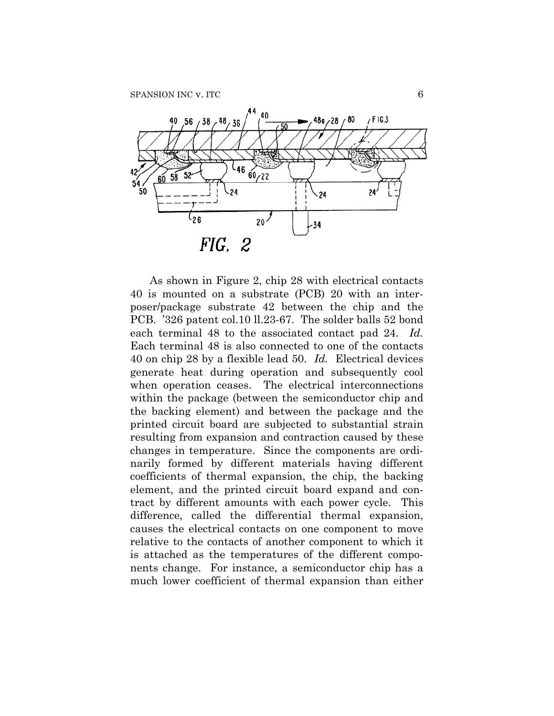

As shown in Figure 2, chip 28 with electrical contacts 40 is mounted on a substrate (PCB) 20 with an interposer/package substrate 42 between the chip and the PCB. '326 patent col.10 ll.23-67. The solder balls 52 bond each terminal 48 to the associated contact pad 24. *Id.* Each terminal 48 is also connected to one of the contacts 40 on chip 28 by a flexible lead 50. *Id.* Electrical devices generate heat during operation and subsequently cool when operation ceases. The electrical interconnections within the package (between the semiconductor chip and the backing element) and between the package and the printed circuit board are subjected to substantial strain resulting from expansion and contraction caused by these changes in temperature. Since the components are ordinarily formed by different materials having different coefficients of thermal expansion, the chip, the backing element, and the printed circuit board expand and contract by different amounts with each power cycle. This difference, called the differential thermal expansion, causes the electrical contacts on one component to move relative to the contacts of another component to which it is attached as the temperatures of the different components change. For instance, a semiconductor chip has a much lower coefficient of thermal expansion than either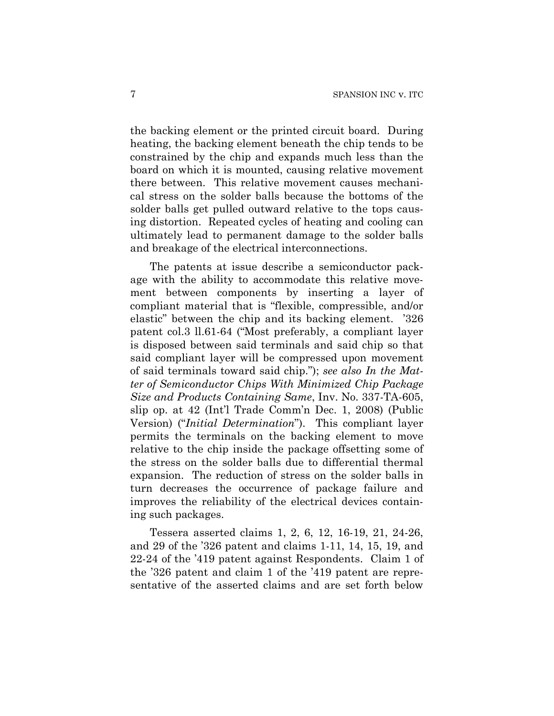the backing element or the printed circuit board. During heating, the backing element beneath the chip tends to be constrained by the chip and expands much less than the board on which it is mounted, causing relative movement there between. This relative movement causes mechanical stress on the solder balls because the bottoms of the solder balls get pulled outward relative to the tops causing distortion. Repeated cycles of heating and cooling can ultimately lead to permanent damage to the solder balls and breakage of the electrical interconnections.

The patents at issue describe a semiconductor package with the ability to accommodate this relative movement between components by inserting a layer of compliant material that is "flexible, compressible, and/or elastic" between the chip and its backing element. '326 patent col.3 ll.61-64 ("Most preferably, a compliant layer is disposed between said terminals and said chip so that said compliant layer will be compressed upon movement of said terminals toward said chip."); *see also In the Matter of Semiconductor Chips With Minimized Chip Package Size and Products Containing Same*, Inv. No. 337-TA-605, slip op. at 42 (Int'l Trade Comm'n Dec. 1, 2008) (Public Version) ("*Initial Determination*"). This compliant layer permits the terminals on the backing element to move relative to the chip inside the package offsetting some of the stress on the solder balls due to differential thermal expansion. The reduction of stress on the solder balls in turn decreases the occurrence of package failure and improves the reliability of the electrical devices containing such packages.

Tessera asserted claims 1, 2, 6, 12, 16-19, 21, 24-26, and 29 of the '326 patent and claims 1-11, 14, 15, 19, and 22-24 of the '419 patent against Respondents. Claim 1 of the '326 patent and claim 1 of the '419 patent are representative of the asserted claims and are set forth below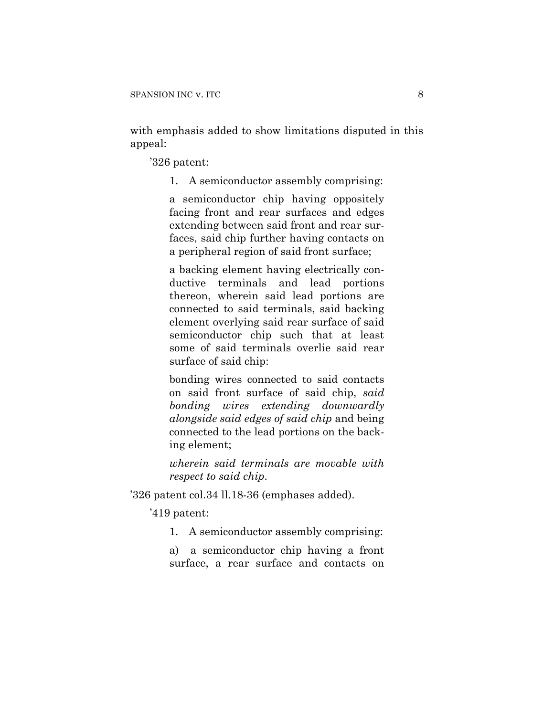with emphasis added to show limitations disputed in this appeal:

'326 patent:

1. A semiconductor assembly comprising:

a semiconductor chip having oppositely facing front and rear surfaces and edges extending between said front and rear surfaces, said chip further having contacts on a peripheral region of said front surface;

a backing element having electrically conductive terminals and lead portions thereon, wherein said lead portions are connected to said terminals, said backing element overlying said rear surface of said semiconductor chip such that at least some of said terminals overlie said rear surface of said chip:

bonding wires connected to said contacts on said front surface of said chip, *said bonding wires extending downwardly alongside said edges of said chip* and being connected to the lead portions on the backing element;

*wherein said terminals are movable with respect to said chip*.

'326 patent col.34 ll.18-36 (emphases added).

'419 patent:

1. A semiconductor assembly comprising:

a) a semiconductor chip having a front surface, a rear surface and contacts on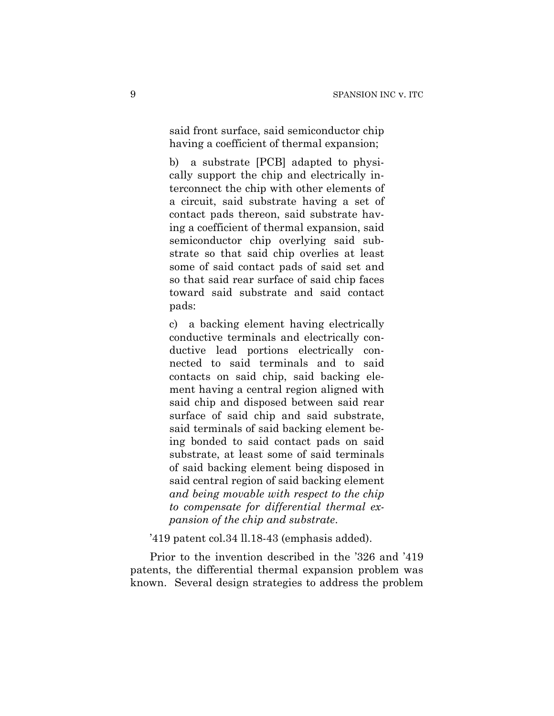said front surface, said semiconductor chip having a coefficient of thermal expansion;

b) a substrate [PCB] adapted to physically support the chip and electrically interconnect the chip with other elements of a circuit, said substrate having a set of contact pads thereon, said substrate having a coefficient of thermal expansion, said semiconductor chip overlying said substrate so that said chip overlies at least some of said contact pads of said set and so that said rear surface of said chip faces toward said substrate and said contact pads:

c) a backing element having electrically conductive terminals and electrically conductive lead portions electrically connected to said terminals and to said contacts on said chip, said backing element having a central region aligned with said chip and disposed between said rear surface of said chip and said substrate, said terminals of said backing element being bonded to said contact pads on said substrate, at least some of said terminals of said backing element being disposed in said central region of said backing element *and being movable with respect to the chip to compensate for differential thermal expansion of the chip and substrate*.

'419 patent col.34 ll.18-43 (emphasis added).

Prior to the invention described in the '326 and '419 patents, the differential thermal expansion problem was known. Several design strategies to address the problem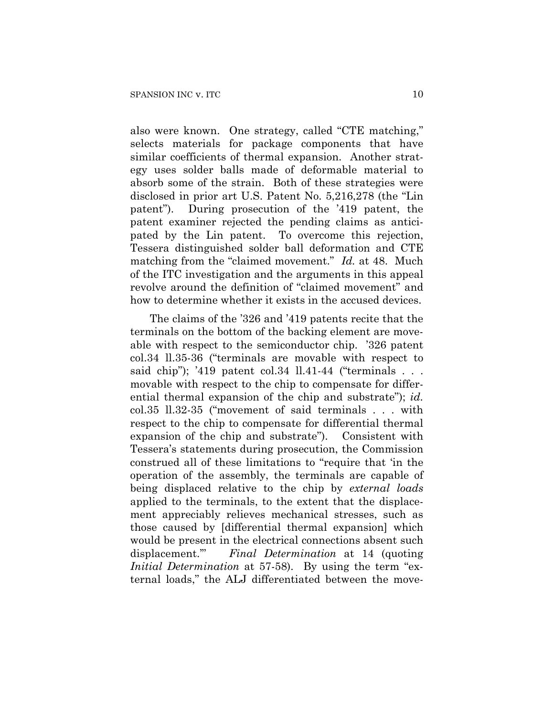also were known. One strategy, called "CTE matching," selects materials for package components that have similar coefficients of thermal expansion. Another strategy uses solder balls made of deformable material to absorb some of the strain. Both of these strategies were disclosed in prior art U.S. Patent No. 5,216,278 (the "Lin patent"). During prosecution of the '419 patent, the patent examiner rejected the pending claims as anticipated by the Lin patent. To overcome this rejection, Tessera distinguished solder ball deformation and CTE matching from the "claimed movement." *Id.* at 48. Much of the ITC investigation and the arguments in this appeal revolve around the definition of "claimed movement" and how to determine whether it exists in the accused devices.

The claims of the '326 and '419 patents recite that the terminals on the bottom of the backing element are moveable with respect to the semiconductor chip. '326 patent col.34 ll.35-36 ("terminals are movable with respect to said chip"); '419 patent col.34  $\text{ll.41-44}$  ("terminals ... movable with respect to the chip to compensate for differential thermal expansion of the chip and substrate"); *id.* col.35 ll.32-35 ("movement of said terminals . . . with respect to the chip to compensate for differential thermal expansion of the chip and substrate"). Consistent with Tessera's statements during prosecution, the Commission construed all of these limitations to "require that 'in the operation of the assembly, the terminals are capable of being displaced relative to the chip by *external loads* applied to the terminals, to the extent that the displacement appreciably relieves mechanical stresses, such as those caused by [differential thermal expansion] which would be present in the electrical connections absent such displacement.'" *Final Determination* at 14 (quoting *Initial Determination* at 57-58). By using the term "external loads," the ALJ differentiated between the move-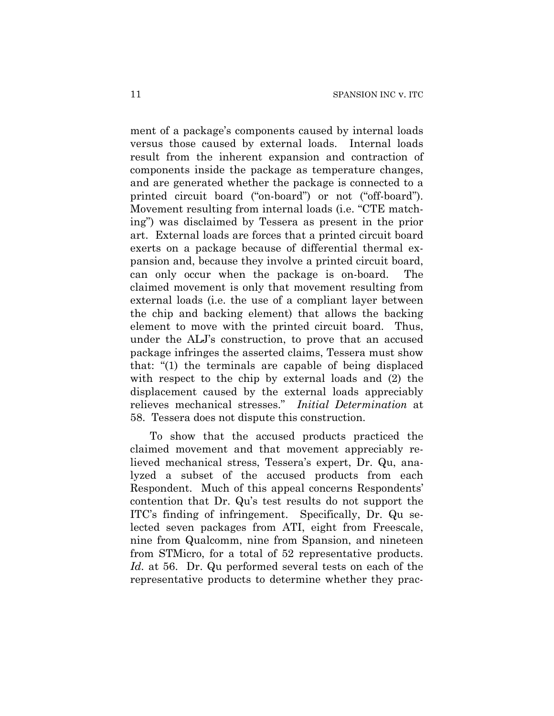ment of a package's components caused by internal loads versus those caused by external loads. Internal loads result from the inherent expansion and contraction of components inside the package as temperature changes, and are generated whether the package is connected to a printed circuit board ("on-board") or not ("off-board"). Movement resulting from internal loads (i.e. "CTE matching") was disclaimed by Tessera as present in the prior art. External loads are forces that a printed circuit board exerts on a package because of differential thermal expansion and, because they involve a printed circuit board, can only occur when the package is on-board. The claimed movement is only that movement resulting from external loads (i.e. the use of a compliant layer between the chip and backing element) that allows the backing element to move with the printed circuit board. Thus, under the ALJ's construction, to prove that an accused package infringes the asserted claims, Tessera must show that: "(1) the terminals are capable of being displaced with respect to the chip by external loads and (2) the displacement caused by the external loads appreciably relieves mechanical stresses." *Initial Determination* at 58. Tessera does not dispute this construction.

To show that the accused products practiced the claimed movement and that movement appreciably relieved mechanical stress, Tessera's expert, Dr. Qu, analyzed a subset of the accused products from each Respondent. Much of this appeal concerns Respondents' contention that Dr. Qu's test results do not support the ITC's finding of infringement. Specifically, Dr. Qu selected seven packages from ATI, eight from Freescale, nine from Qualcomm, nine from Spansion, and nineteen from STMicro, for a total of 52 representative products. *Id.* at 56. Dr. Qu performed several tests on each of the representative products to determine whether they prac-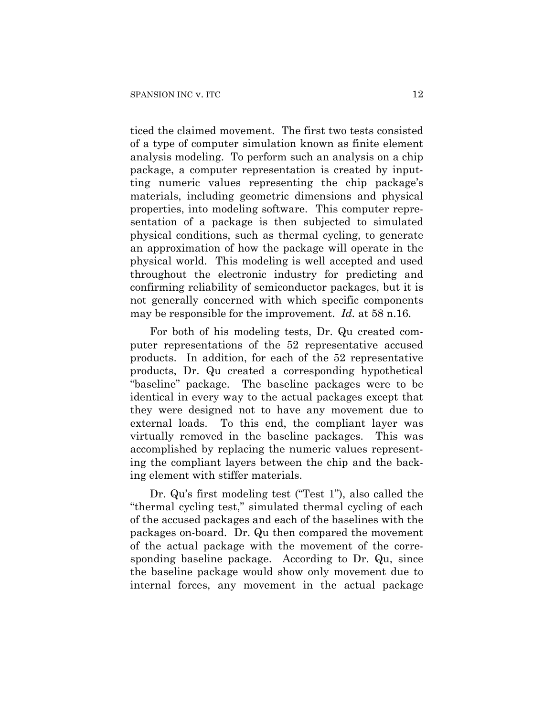ticed the claimed movement. The first two tests consisted of a type of computer simulation known as finite element analysis modeling. To perform such an analysis on a chip package, a computer representation is created by inputting numeric values representing the chip package's materials, including geometric dimensions and physical properties, into modeling software. This computer representation of a package is then subjected to simulated physical conditions, such as thermal cycling, to generate an approximation of how the package will operate in the physical world. This modeling is well accepted and used throughout the electronic industry for predicting and confirming reliability of semiconductor packages, but it is not generally concerned with which specific components may be responsible for the improvement. *Id.* at 58 n.16.

For both of his modeling tests, Dr. Qu created computer representations of the 52 representative accused products. In addition, for each of the 52 representative products, Dr. Qu created a corresponding hypothetical "baseline" package. The baseline packages were to be identical in every way to the actual packages except that they were designed not to have any movement due to external loads. To this end, the compliant layer was virtually removed in the baseline packages. This was accomplished by replacing the numeric values representing the compliant layers between the chip and the backing element with stiffer materials.

Dr. Qu's first modeling test ("Test 1"), also called the "thermal cycling test," simulated thermal cycling of each of the accused packages and each of the baselines with the packages on-board. Dr. Qu then compared the movement of the actual package with the movement of the corresponding baseline package. According to Dr. Qu, since the baseline package would show only movement due to internal forces, any movement in the actual package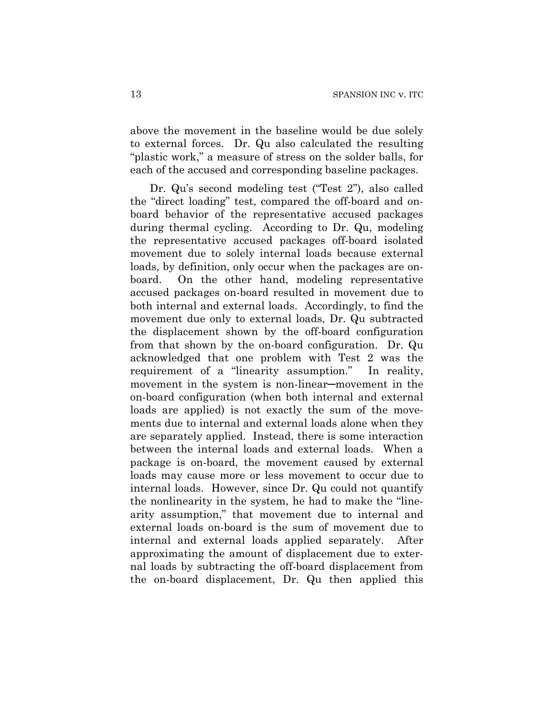above the movement in the baseline would be due solely to external forces. Dr. Qu also calculated the resulting "plastic work," a measure of stress on the solder balls, for each of the accused and corresponding baseline packages.

Dr. Qu's second modeling test ("Test 2"), also called the "direct loading" test, compared the off-board and onboard behavior of the representative accused packages during thermal cycling. According to Dr. Qu, modeling the representative accused packages off-board isolated movement due to solely internal loads because external loads, by definition, only occur when the packages are onboard. On the other hand, modeling representative accused packages on-board resulted in movement due to both internal and external loads. Accordingly, to find the movement due only to external loads, Dr. Qu subtracted the displacement shown by the off-board configuration from that shown by the on-board configuration. Dr. Qu acknowledged that one problem with Test 2 was the requirement of a "linearity assumption." In reality, movement in the system is non-linear─movement in the on-board configuration (when both internal and external loads are applied) is not exactly the sum of the movements due to internal and external loads alone when they are separately applied. Instead, there is some interaction between the internal loads and external loads. When a package is on-board, the movement caused by external loads may cause more or less movement to occur due to internal loads. However, since Dr. Qu could not quantify the nonlinearity in the system, he had to make the "linearity assumption," that movement due to internal and external loads on-board is the sum of movement due to internal and external loads applied separately. After approximating the amount of displacement due to external loads by subtracting the off-board displacement from the on-board displacement, Dr. Qu then applied this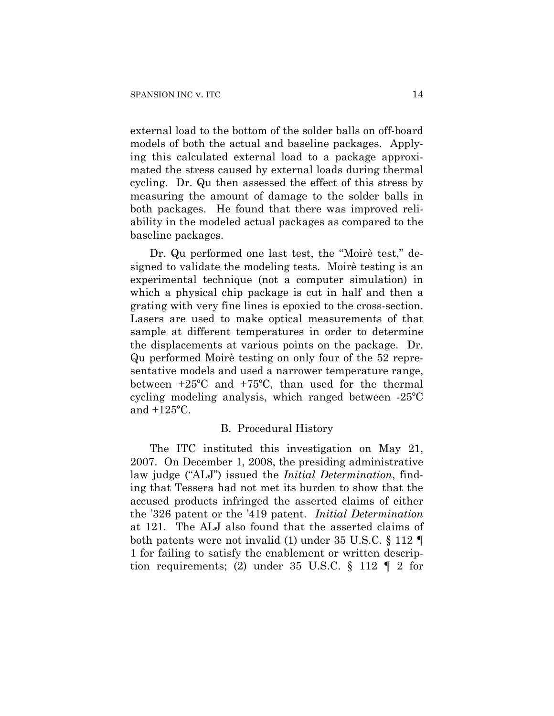external load to the bottom of the solder balls on off-board models of both the actual and baseline packages. Applying this calculated external load to a package approximated the stress caused by external loads during thermal cycling. Dr. Qu then assessed the effect of this stress by measuring the amount of damage to the solder balls in both packages. He found that there was improved reliability in the modeled actual packages as compared to the baseline packages.

Dr. Qu performed one last test, the "Moirè test," designed to validate the modeling tests. Moirè testing is an experimental technique (not a computer simulation) in which a physical chip package is cut in half and then a grating with very fine lines is epoxied to the cross-section. Lasers are used to make optical measurements of that sample at different temperatures in order to determine the displacements at various points on the package. Dr. Qu performed Moirè testing on only four of the 52 representative models and used a narrower temperature range, between +25ºC and +75ºC, than used for the thermal cycling modeling analysis, which ranged between -25ºC and +125ºC.

## B. Procedural History

The ITC instituted this investigation on May 21, 2007. On December 1, 2008, the presiding administrative law judge ("ALJ") issued the *Initial Determination*, finding that Tessera had not met its burden to show that the accused products infringed the asserted claims of either the '326 patent or the '419 patent. *Initial Determination* at 121. The ALJ also found that the asserted claims of both patents were not invalid (1) under 35 U.S.C. § 112 ¶ 1 for failing to satisfy the enablement or written description requirements; (2) under 35 U.S.C.  $\S$  112  $\P$  2 for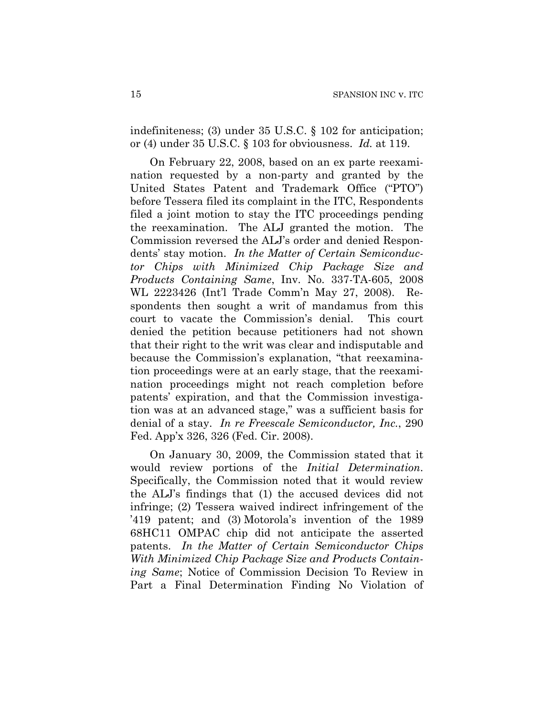indefiniteness; (3) under 35 U.S.C. § 102 for anticipation; or (4) under 35 U.S.C. § 103 for obviousness. *Id.* at 119.

On February 22, 2008, based on an ex parte reexamination requested by a non-party and granted by the United States Patent and Trademark Office ("PTO") before Tessera filed its complaint in the ITC, Respondents filed a joint motion to stay the ITC proceedings pending the reexamination. The ALJ granted the motion. The Commission reversed the ALJ's order and denied Respondents' stay motion. *In the Matter of Certain Semiconductor Chips with Minimized Chip Package Size and Products Containing Same*, Inv. No. 337-TA-605, 2008 WL 2223426 (Int'l Trade Comm'n May 27, 2008). Respondents then sought a writ of mandamus from this court to vacate the Commission's denial. This court denied the petition because petitioners had not shown that their right to the writ was clear and indisputable and because the Commission's explanation, "that reexamination proceedings were at an early stage, that the reexamination proceedings might not reach completion before patents' expiration, and that the Commission investigation was at an advanced stage," was a sufficient basis for denial of a stay. *In re Freescale Semiconductor, Inc.*, 290 Fed. App'x 326, 326 (Fed. Cir. 2008).

On January 30, 2009, the Commission stated that it would review portions of the *Initial Determination*. Specifically, the Commission noted that it would review the ALJ's findings that (1) the accused devices did not infringe; (2) Tessera waived indirect infringement of the '419 patent; and (3) Motorola's invention of the 1989 68HC11 OMPAC chip did not anticipate the asserted patents. *In the Matter of Certain Semiconductor Chips With Minimized Chip Package Size and Products Containing Same*; Notice of Commission Decision To Review in Part a Final Determination Finding No Violation of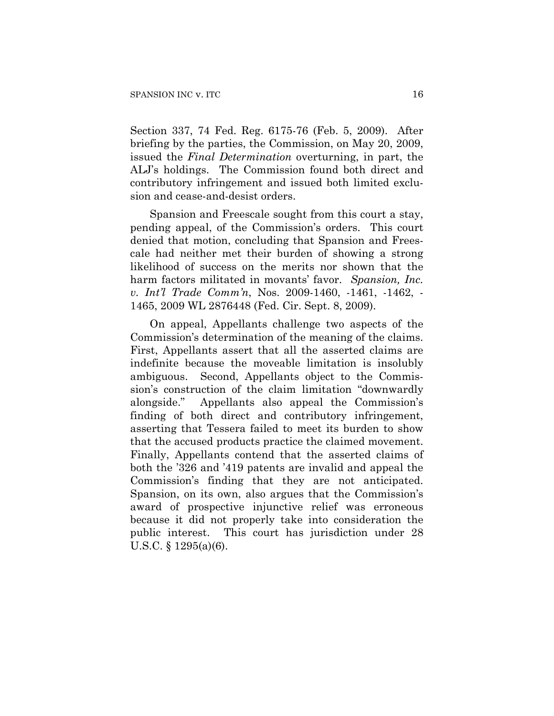Section 337, 74 Fed. Reg. 6175-76 (Feb. 5, 2009). After briefing by the parties, the Commission, on May 20, 2009, issued the *Final Determination* overturning, in part, the ALJ's holdings. The Commission found both direct and contributory infringement and issued both limited exclusion and cease-and-desist orders.

Spansion and Freescale sought from this court a stay, pending appeal, of the Commission's orders. This court denied that motion, concluding that Spansion and Freescale had neither met their burden of showing a strong likelihood of success on the merits nor shown that the harm factors militated in movants' favor. *Spansion, Inc. v. Int'l Trade Comm'n*, Nos. 2009-1460, -1461, -1462, - 1465, 2009 WL 2876448 (Fed. Cir. Sept. 8, 2009).

On appeal, Appellants challenge two aspects of the Commission's determination of the meaning of the claims. First, Appellants assert that all the asserted claims are indefinite because the moveable limitation is insolubly ambiguous. Second, Appellants object to the Commission's construction of the claim limitation "downwardly alongside." Appellants also appeal the Commission's finding of both direct and contributory infringement, asserting that Tessera failed to meet its burden to show that the accused products practice the claimed movement. Finally, Appellants contend that the asserted claims of both the '326 and '419 patents are invalid and appeal the Commission's finding that they are not anticipated. Spansion, on its own, also argues that the Commission's award of prospective injunctive relief was erroneous because it did not properly take into consideration the public interest. This court has jurisdiction under 28 U.S.C. § 1295(a)(6).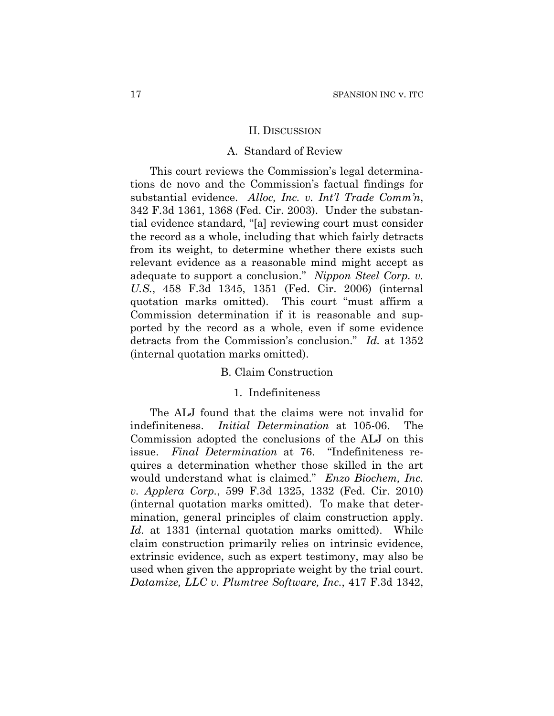#### II. DISCUSSION

## A. Standard of Review

This court reviews the Commission's legal determinations de novo and the Commission's factual findings for substantial evidence. *Alloc, Inc. v. Int'l Trade Comm'n*, 342 F.3d 1361, 1368 (Fed. Cir. 2003). Under the substantial evidence standard, "[a] reviewing court must consider the record as a whole, including that which fairly detracts from its weight, to determine whether there exists such relevant evidence as a reasonable mind might accept as adequate to support a conclusion." *Nippon Steel Corp. v. U.S.*, 458 F.3d 1345, 1351 (Fed. Cir. 2006) (internal quotation marks omitted). This court "must affirm a Commission determination if it is reasonable and supported by the record as a whole, even if some evidence detracts from the Commission's conclusion." *Id.* at 1352 (internal quotation marks omitted).

## B. Claim Construction

## 1. Indefiniteness

The ALJ found that the claims were not invalid for indefiniteness. *Initial Determination* at 105-06. The Commission adopted the conclusions of the ALJ on this issue. *Final Determination* at 76. "Indefiniteness requires a determination whether those skilled in the art would understand what is claimed." *Enzo Biochem, Inc. v. Applera Corp.*, 599 F.3d 1325, 1332 (Fed. Cir. 2010) (internal quotation marks omitted). To make that determination, general principles of claim construction apply. *Id.* at 1331 (internal quotation marks omitted). While claim construction primarily relies on intrinsic evidence, extrinsic evidence, such as expert testimony, may also be used when given the appropriate weight by the trial court. *Datamize, LLC v. Plumtree Software, Inc.*, 417 F.3d 1342,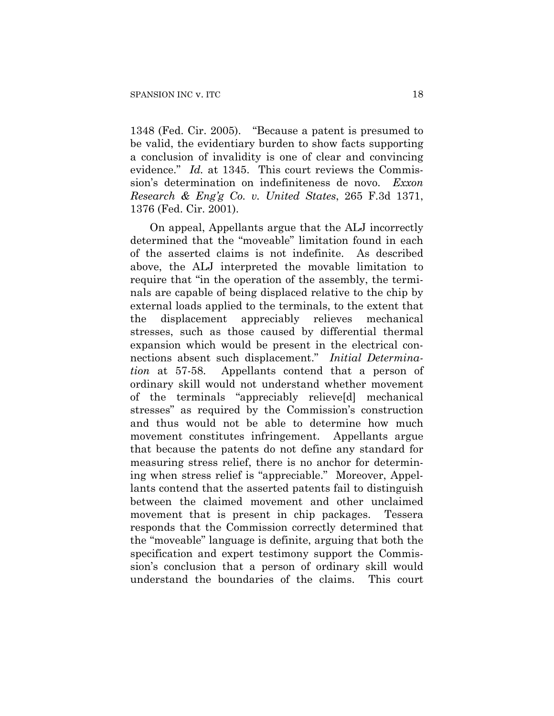1348 (Fed. Cir. 2005). "Because a patent is presumed to be valid, the evidentiary burden to show facts supporting a conclusion of invalidity is one of clear and convincing evidence." *Id.* at 1345. This court reviews the Commission's determination on indefiniteness de novo. *Exxon Research & Eng'g Co. v. United States*, 265 F.3d 1371, 1376 (Fed. Cir. 2001).

On appeal, Appellants argue that the ALJ incorrectly determined that the "moveable" limitation found in each of the asserted claims is not indefinite. As described above, the ALJ interpreted the movable limitation to require that "in the operation of the assembly, the terminals are capable of being displaced relative to the chip by external loads applied to the terminals, to the extent that the displacement appreciably relieves mechanical stresses, such as those caused by differential thermal expansion which would be present in the electrical connections absent such displacement." *Initial Determination* at 57-58. Appellants contend that a person of ordinary skill would not understand whether movement of the terminals "appreciably relieve[d] mechanical stresses" as required by the Commission's construction and thus would not be able to determine how much movement constitutes infringement. Appellants argue that because the patents do not define any standard for measuring stress relief, there is no anchor for determining when stress relief is "appreciable." Moreover, Appellants contend that the asserted patents fail to distinguish between the claimed movement and other unclaimed movement that is present in chip packages. Tessera responds that the Commission correctly determined that the "moveable" language is definite, arguing that both the specification and expert testimony support the Commission's conclusion that a person of ordinary skill would understand the boundaries of the claims. This court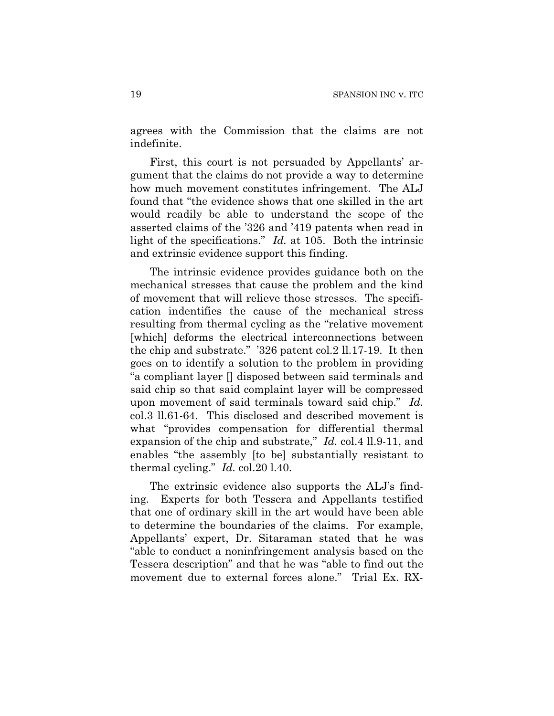agrees with the Commission that the claims are not indefinite.

First, this court is not persuaded by Appellants' argument that the claims do not provide a way to determine how much movement constitutes infringement. The ALJ found that "the evidence shows that one skilled in the art would readily be able to understand the scope of the asserted claims of the '326 and '419 patents when read in light of the specifications." *Id.* at 105. Both the intrinsic and extrinsic evidence support this finding.

The intrinsic evidence provides guidance both on the mechanical stresses that cause the problem and the kind of movement that will relieve those stresses. The specification indentifies the cause of the mechanical stress resulting from thermal cycling as the "relative movement [which] deforms the electrical interconnections between the chip and substrate." '326 patent col.2 ll.17-19. It then goes on to identify a solution to the problem in providing "a compliant layer [] disposed between said terminals and said chip so that said complaint layer will be compressed upon movement of said terminals toward said chip." *Id.* col.3 ll.61-64. This disclosed and described movement is what "provides compensation for differential thermal expansion of the chip and substrate," *Id.* col.4 ll.9-11, and enables "the assembly [to be] substantially resistant to thermal cycling." *Id.* col.20 l.40.

The extrinsic evidence also supports the ALJ's finding. Experts for both Tessera and Appellants testified that one of ordinary skill in the art would have been able to determine the boundaries of the claims. For example, Appellants' expert, Dr. Sitaraman stated that he was "able to conduct a noninfringement analysis based on the Tessera description" and that he was "able to find out the movement due to external forces alone." Trial Ex. RX-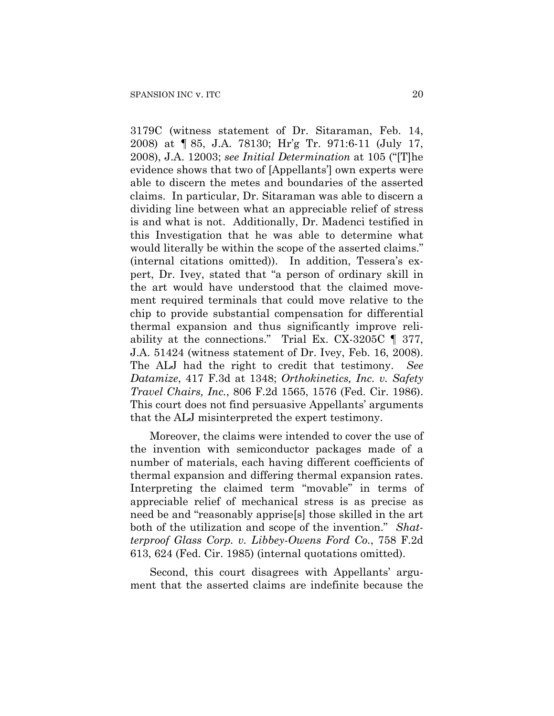3179C (witness statement of Dr. Sitaraman, Feb. 14, 2008) at ¶ 85, J.A. 78130; Hr'g Tr. 971:6-11 (July 17, 2008), J.A. 12003; *see Initial Determination* at 105 ("[T]he evidence shows that two of [Appellants'] own experts were able to discern the metes and boundaries of the asserted claims. In particular, Dr. Sitaraman was able to discern a dividing line between what an appreciable relief of stress is and what is not. Additionally, Dr. Madenci testified in this Investigation that he was able to determine what would literally be within the scope of the asserted claims." (internal citations omitted)). In addition, Tessera's expert, Dr. Ivey, stated that "a person of ordinary skill in the art would have understood that the claimed movement required terminals that could move relative to the chip to provide substantial compensation for differential thermal expansion and thus significantly improve reliability at the connections." Trial Ex. CX-3205C ¶ 377, J.A. 51424 (witness statement of Dr. Ivey, Feb. 16, 2008). The ALJ had the right to credit that testimony. *See Datamize*, 417 F.3d at 1348; *Orthokinetics, Inc. v. Safety Travel Chairs, Inc.*, 806 F.2d 1565, 1576 (Fed. Cir. 1986). This court does not find persuasive Appellants' arguments that the ALJ misinterpreted the expert testimony.

Moreover, the claims were intended to cover the use of the invention with semiconductor packages made of a number of materials, each having different coefficients of thermal expansion and differing thermal expansion rates. Interpreting the claimed term "movable" in terms of appreciable relief of mechanical stress is as precise as need be and "reasonably apprise[s] those skilled in the art both of the utilization and scope of the invention." *Shatterproof Glass Corp. v. Libbey-Owens Ford Co.*, 758 F.2d 613, 624 (Fed. Cir. 1985) (internal quotations omitted).

Second, this court disagrees with Appellants' argument that the asserted claims are indefinite because the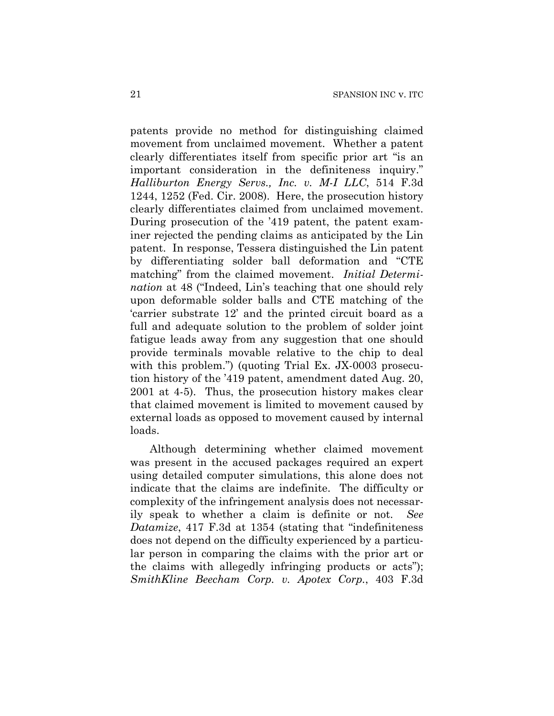patents provide no method for distinguishing claimed movement from unclaimed movement. Whether a patent clearly differentiates itself from specific prior art "is an important consideration in the definiteness inquiry." *Halliburton Energy Servs., Inc. v. M-I LLC*, 514 F.3d 1244, 1252 (Fed. Cir. 2008). Here, the prosecution history clearly differentiates claimed from unclaimed movement. During prosecution of the '419 patent, the patent examiner rejected the pending claims as anticipated by the Lin patent. In response, Tessera distinguished the Lin patent by differentiating solder ball deformation and "CTE matching" from the claimed movement. *Initial Determination* at 48 ("Indeed, Lin's teaching that one should rely upon deformable solder balls and CTE matching of the 'carrier substrate 12' and the printed circuit board as a full and adequate solution to the problem of solder joint fatigue leads away from any suggestion that one should provide terminals movable relative to the chip to deal with this problem.") (quoting Trial Ex. JX-0003 prosecution history of the '419 patent, amendment dated Aug. 20, 2001 at 4-5). Thus, the prosecution history makes clear that claimed movement is limited to movement caused by external loads as opposed to movement caused by internal loads.

Although determining whether claimed movement was present in the accused packages required an expert using detailed computer simulations, this alone does not indicate that the claims are indefinite. The difficulty or complexity of the infringement analysis does not necessarily speak to whether a claim is definite or not. *See Datamize*, 417 F.3d at 1354 (stating that "indefiniteness does not depend on the difficulty experienced by a particular person in comparing the claims with the prior art or the claims with allegedly infringing products or acts"); *SmithKline Beecham Corp. v. Apotex Corp.*, 403 F.3d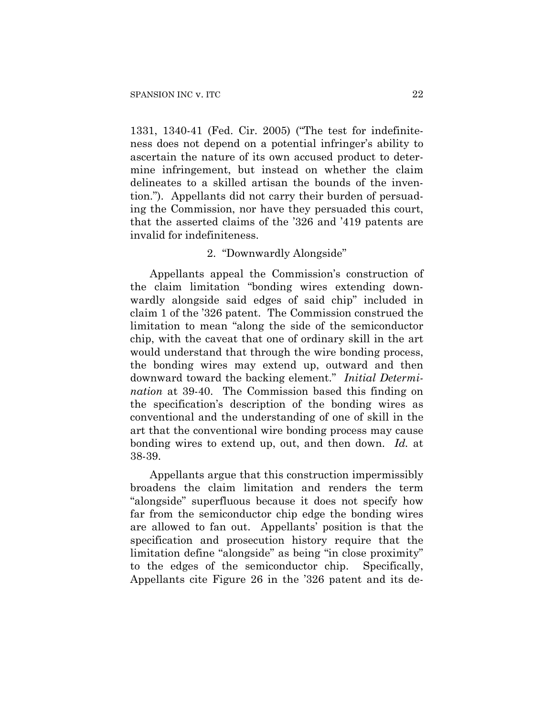1331, 1340-41 (Fed. Cir. 2005) ("The test for indefiniteness does not depend on a potential infringer's ability to ascertain the nature of its own accused product to determine infringement, but instead on whether the claim delineates to a skilled artisan the bounds of the invention."). Appellants did not carry their burden of persuading the Commission, nor have they persuaded this court, that the asserted claims of the '326 and '419 patents are invalid for indefiniteness.

# 2. "Downwardly Alongside"

Appellants appeal the Commission's construction of the claim limitation "bonding wires extending downwardly alongside said edges of said chip" included in claim 1 of the '326 patent. The Commission construed the limitation to mean "along the side of the semiconductor chip, with the caveat that one of ordinary skill in the art would understand that through the wire bonding process, the bonding wires may extend up, outward and then downward toward the backing element." *Initial Determination* at 39-40. The Commission based this finding on the specification's description of the bonding wires as conventional and the understanding of one of skill in the art that the conventional wire bonding process may cause bonding wires to extend up, out, and then down. *Id.* at 38-39.

Appellants argue that this construction impermissibly broadens the claim limitation and renders the term "alongside" superfluous because it does not specify how far from the semiconductor chip edge the bonding wires are allowed to fan out. Appellants' position is that the specification and prosecution history require that the limitation define "alongside" as being "in close proximity" to the edges of the semiconductor chip. Specifically, Appellants cite Figure 26 in the '326 patent and its de-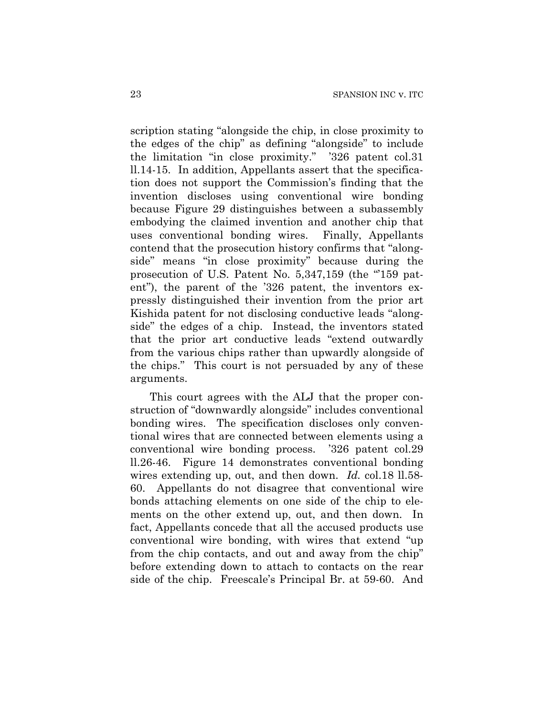scription stating "alongside the chip, in close proximity to the edges of the chip" as defining "alongside" to include the limitation "in close proximity." '326 patent col.31 ll.14-15.In addition, Appellants assert that the specification does not support the Commission's finding that the invention discloses using conventional wire bonding because Figure 29 distinguishes between a subassembly embodying the claimed invention and another chip that uses conventional bonding wires. Finally, Appellants contend that the prosecution history confirms that "alongside" means "in close proximity" because during the prosecution of U.S. Patent No. 5,347,159 (the "'159 patent"), the parent of the '326 patent, the inventors expressly distinguished their invention from the prior art Kishida patent for not disclosing conductive leads "alongside" the edges of a chip. Instead, the inventors stated that the prior art conductive leads "extend outwardly from the various chips rather than upwardly alongside of the chips." This court is not persuaded by any of these arguments.

This court agrees with the ALJ that the proper construction of "downwardly alongside" includes conventional bonding wires. The specification discloses only conventional wires that are connected between elements using a conventional wire bonding process. '326 patent col.29 ll.26-46. Figure 14 demonstrates conventional bonding wires extending up, out, and then down. *Id.* col.18 ll.58- 60. Appellants do not disagree that conventional wire bonds attaching elements on one side of the chip to elements on the other extend up, out, and then down. In fact, Appellants concede that all the accused products use conventional wire bonding, with wires that extend "up from the chip contacts, and out and away from the chip" before extending down to attach to contacts on the rear side of the chip. Freescale's Principal Br. at 59-60. And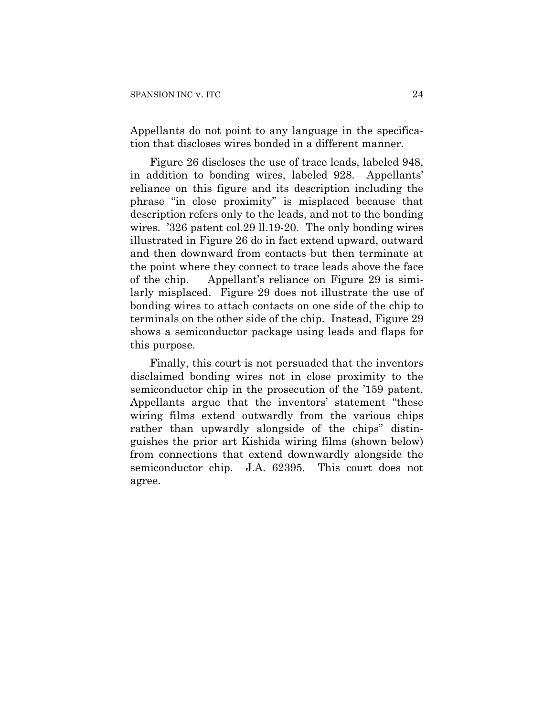Appellants do not point to any language in the specification that discloses wires bonded in a different manner.

Figure 26 discloses the use of trace leads, labeled 948, in addition to bonding wires, labeled 928. Appellants' reliance on this figure and its description including the phrase "in close proximity" is misplaced because that description refers only to the leads, and not to the bonding wires. '326 patent col.29 ll.19-20. The only bonding wires illustrated in Figure 26 do in fact extend upward, outward and then downward from contacts but then terminate at the point where they connect to trace leads above the face of the chip. Appellant's reliance on Figure 29 is similarly misplaced. Figure 29 does not illustrate the use of bonding wires to attach contacts on one side of the chip to terminals on the other side of the chip. Instead, Figure 29 shows a semiconductor package using leads and flaps for this purpose.

Finally, this court is not persuaded that the inventors disclaimed bonding wires not in close proximity to the semiconductor chip in the prosecution of the '159 patent. Appellants argue that the inventors' statement "these wiring films extend outwardly from the various chips rather than upwardly alongside of the chips" distinguishes the prior art Kishida wiring films (shown below) from connections that extend downwardly alongside the semiconductor chip. J.A. 62395. This court does not agree.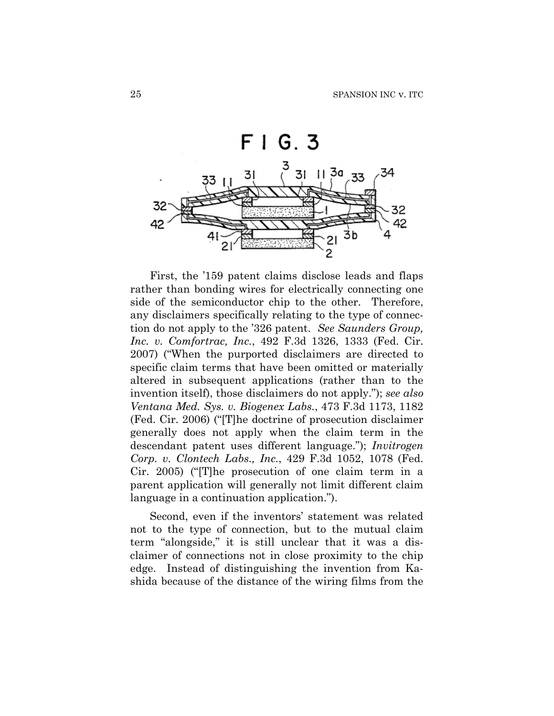

First, the '159 patent claims disclose leads and flaps rather than bonding wires for electrically connecting one side of the semiconductor chip to the other. Therefore, any disclaimers specifically relating to the type of connection do not apply to the '326 patent. *See Saunders Group, Inc. v. Comfortrac, Inc.*, 492 F.3d 1326, 1333 (Fed. Cir. 2007) ("When the purported disclaimers are directed to specific claim terms that have been omitted or materially altered in subsequent applications (rather than to the invention itself), those disclaimers do not apply."); *see also Ventana Med. Sys. v. Biogenex Labs.*, 473 F.3d 1173, 1182 (Fed. Cir. 2006) ("[T]he doctrine of prosecution disclaimer generally does not apply when the claim term in the descendant patent uses different language."); *Invitrogen Corp. v. Clontech Labs., Inc.*, 429 F.3d 1052, 1078 (Fed. Cir. 2005) ("[T]he prosecution of one claim term in a parent application will generally not limit different claim language in a continuation application.").

Second, even if the inventors' statement was related not to the type of connection, but to the mutual claim term "alongside," it is still unclear that it was a disclaimer of connections not in close proximity to the chip edge. Instead of distinguishing the invention from Kashida because of the distance of the wiring films from the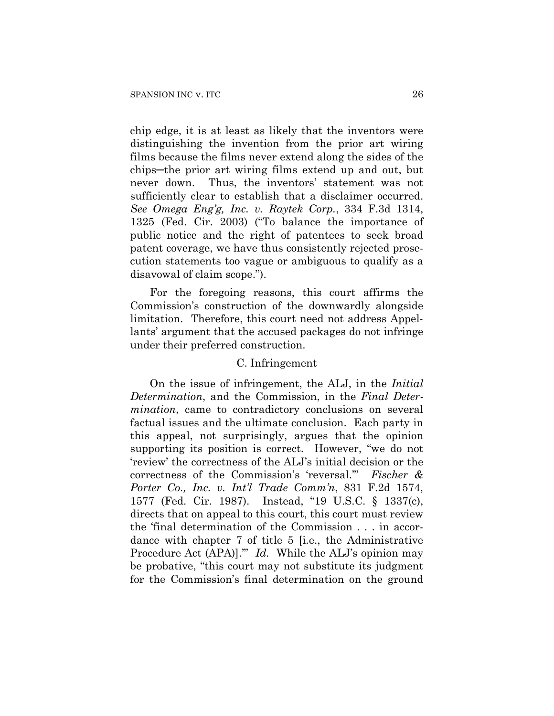chip edge, it is at least as likely that the inventors were distinguishing the invention from the prior art wiring films because the films never extend along the sides of the chips─the prior art wiring films extend up and out, but never down. Thus, the inventors' statement was not sufficiently clear to establish that a disclaimer occurred. *See Omega Eng'g, Inc. v. Raytek Corp.*, 334 F.3d 1314, 1325 (Fed. Cir. 2003) ("To balance the importance of public notice and the right of patentees to seek broad patent coverage, we have thus consistently rejected prosecution statements too vague or ambiguous to qualify as a disavowal of claim scope.").

For the foregoing reasons, this court affirms the Commission's construction of the downwardly alongside limitation. Therefore, this court need not address Appellants' argument that the accused packages do not infringe under their preferred construction.

# C. Infringement

On the issue of infringement, the ALJ, in the *Initial Determination*, and the Commission, in the *Final Determination*, came to contradictory conclusions on several factual issues and the ultimate conclusion. Each party in this appeal, not surprisingly, argues that the opinion supporting its position is correct. However, "we do not 'review' the correctness of the ALJ's initial decision or the correctness of the Commission's 'reversal.'" *Fischer & Porter Co., Inc. v. Int'l Trade Comm'n*, 831 F.2d 1574, 1577 (Fed. Cir. 1987). Instead, "19 U.S.C. § 1337(c), directs that on appeal to this court, this court must review the 'final determination of the Commission . . . in accordance with chapter 7 of title 5 [i.e., the Administrative Procedure Act (APA)].'" *Id.* While the ALJ's opinion may be probative, "this court may not substitute its judgment for the Commission's final determination on the ground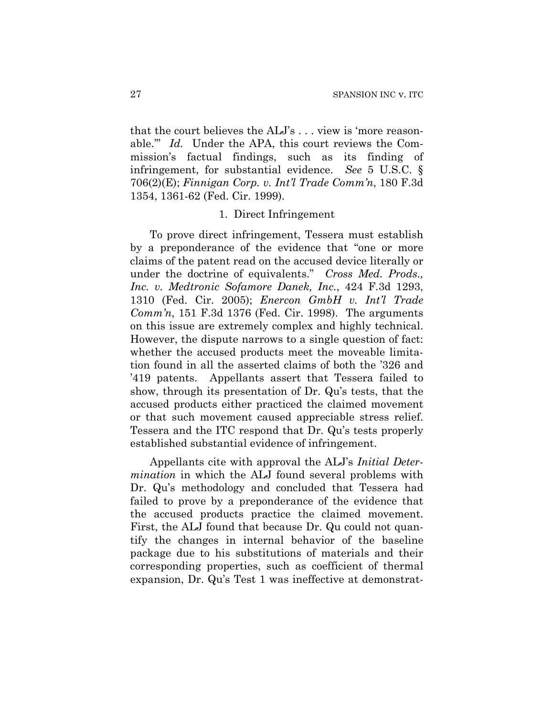that the court believes the ALJ's . . . view is 'more reasonable.'" *Id.* Under the APA, this court reviews the Commission's factual findings, such as its finding of infringement, for substantial evidence. *See* 5 U.S.C. § 706(2)(E); *Finnigan Corp. v. Int'l Trade Comm'n*, 180 F.3d 1354, 1361-62 (Fed. Cir. 1999).

# 1. Direct Infringement

To prove direct infringement, Tessera must establish by a preponderance of the evidence that "one or more claims of the patent read on the accused device literally or under the doctrine of equivalents." *Cross Med. Prods., Inc. v. Medtronic Sofamore Danek, Inc.*, 424 F.3d 1293, 1310 (Fed. Cir. 2005); *Enercon GmbH v. Int'l Trade Comm'n*, 151 F.3d 1376 (Fed. Cir. 1998). The arguments on this issue are extremely complex and highly technical. However, the dispute narrows to a single question of fact: whether the accused products meet the moveable limitation found in all the asserted claims of both the '326 and '419 patents. Appellants assert that Tessera failed to show, through its presentation of Dr. Qu's tests, that the accused products either practiced the claimed movement or that such movement caused appreciable stress relief. Tessera and the ITC respond that Dr. Qu's tests properly established substantial evidence of infringement.

Appellants cite with approval the ALJ's *Initial Determination* in which the ALJ found several problems with Dr. Qu's methodology and concluded that Tessera had failed to prove by a preponderance of the evidence that the accused products practice the claimed movement. First, the ALJ found that because Dr. Qu could not quantify the changes in internal behavior of the baseline package due to his substitutions of materials and their corresponding properties, such as coefficient of thermal expansion, Dr. Qu's Test 1 was ineffective at demonstrat-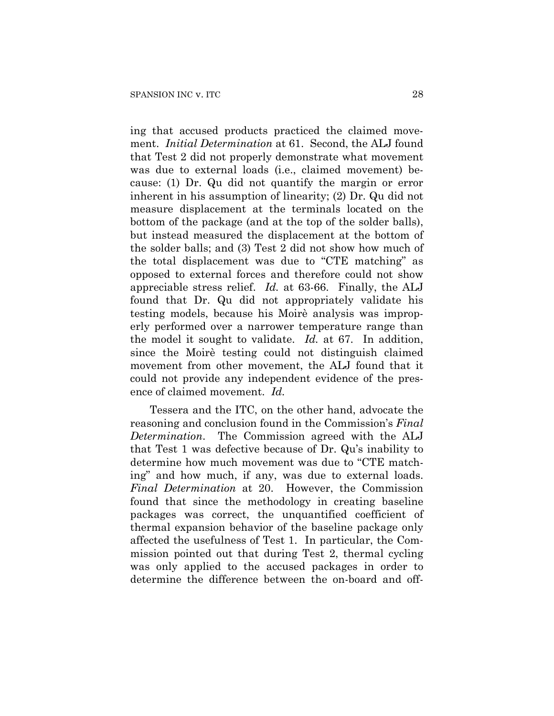ing that accused products practiced the claimed movement. *Initial Determination* at 61. Second, the ALJ found that Test 2 did not properly demonstrate what movement was due to external loads (i.e., claimed movement) because: (1) Dr. Qu did not quantify the margin or error inherent in his assumption of linearity; (2) Dr. Qu did not measure displacement at the terminals located on the bottom of the package (and at the top of the solder balls), but instead measured the displacement at the bottom of the solder balls; and (3) Test 2 did not show how much of the total displacement was due to "CTE matching" as opposed to external forces and therefore could not show appreciable stress relief. *Id.* at 63-66. Finally, the ALJ found that Dr. Qu did not appropriately validate his testing models, because his Moirè analysis was improperly performed over a narrower temperature range than the model it sought to validate. *Id.* at 67. In addition, since the Moirè testing could not distinguish claimed movement from other movement, the ALJ found that it could not provide any independent evidence of the presence of claimed movement. *Id.*

Tessera and the ITC, on the other hand, advocate the reasoning and conclusion found in the Commission's *Final Determination*. The Commission agreed with the ALJ that Test 1 was defective because of Dr. Qu's inability to determine how much movement was due to "CTE matching" and how much, if any, was due to external loads. *Final Determination* at 20. However, the Commission found that since the methodology in creating baseline packages was correct, the unquantified coefficient of thermal expansion behavior of the baseline package only affected the usefulness of Test 1. In particular, the Commission pointed out that during Test 2, thermal cycling was only applied to the accused packages in order to determine the difference between the on-board and off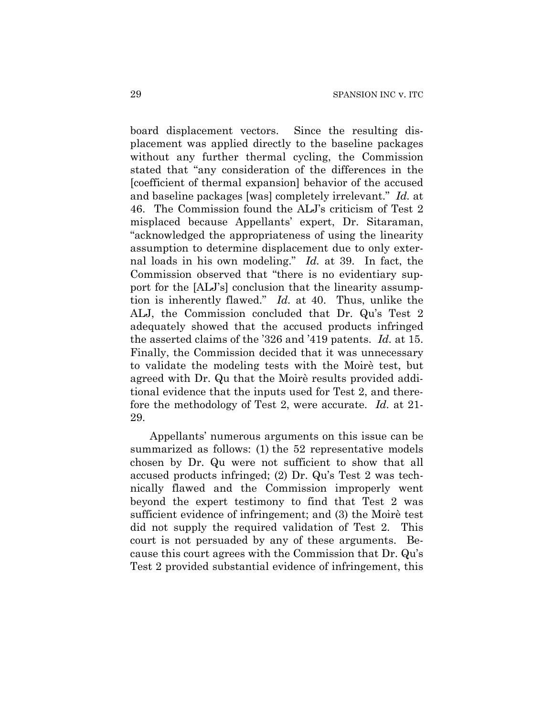board displacement vectors. Since the resulting displacement was applied directly to the baseline packages without any further thermal cycling, the Commission stated that "any consideration of the differences in the [coefficient of thermal expansion] behavior of the accused and baseline packages [was] completely irrelevant." *Id.* at 46. The Commission found the ALJ's criticism of Test 2 misplaced because Appellants' expert, Dr. Sitaraman, "acknowledged the appropriateness of using the linearity assumption to determine displacement due to only external loads in his own modeling." *Id.* at 39. In fact, the Commission observed that "there is no evidentiary support for the [ALJ's] conclusion that the linearity assumption is inherently flawed." *Id.* at 40. Thus, unlike the ALJ, the Commission concluded that Dr. Qu's Test 2 adequately showed that the accused products infringed the asserted claims of the '326 and '419 patents. *Id.* at 15. Finally, the Commission decided that it was unnecessary to validate the modeling tests with the Moirè test, but agreed with Dr. Qu that the Moirè results provided additional evidence that the inputs used for Test 2, and therefore the methodology of Test 2, were accurate. *Id.* at 21- 29.

Appellants' numerous arguments on this issue can be summarized as follows: (1) the 52 representative models chosen by Dr. Qu were not sufficient to show that all accused products infringed; (2) Dr. Qu's Test 2 was technically flawed and the Commission improperly went beyond the expert testimony to find that Test 2 was sufficient evidence of infringement; and (3) the Moirè test did not supply the required validation of Test 2. This court is not persuaded by any of these arguments. Because this court agrees with the Commission that Dr. Qu's Test 2 provided substantial evidence of infringement, this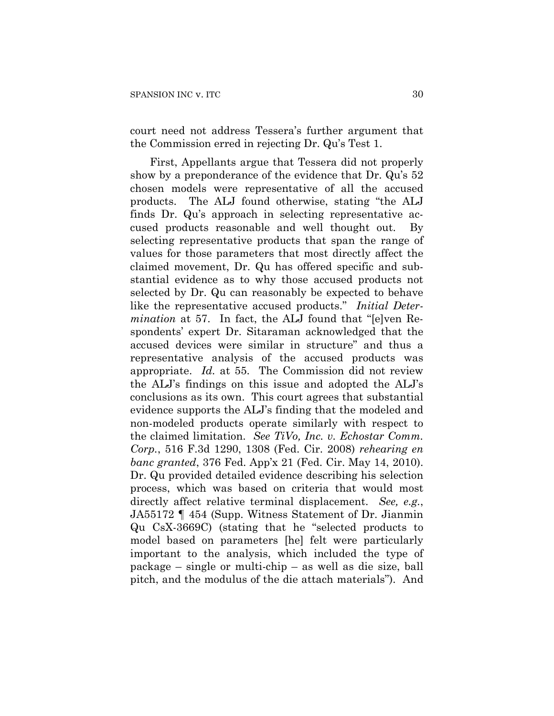court need not address Tessera's further argument that the Commission erred in rejecting Dr. Qu's Test 1.

First, Appellants argue that Tessera did not properly show by a preponderance of the evidence that Dr. Qu's 52 chosen models were representative of all the accused products. The ALJ found otherwise, stating "the ALJ finds Dr. Qu's approach in selecting representative accused products reasonable and well thought out. By selecting representative products that span the range of values for those parameters that most directly affect the claimed movement, Dr. Qu has offered specific and substantial evidence as to why those accused products not selected by Dr. Qu can reasonably be expected to behave like the representative accused products." *Initial Determination* at 57. In fact, the ALJ found that "[e]ven Respondents' expert Dr. Sitaraman acknowledged that the accused devices were similar in structure" and thus a representative analysis of the accused products was appropriate. *Id.* at 55. The Commission did not review the ALJ's findings on this issue and adopted the ALJ's conclusions as its own. This court agrees that substantial evidence supports the ALJ's finding that the modeled and non-modeled products operate similarly with respect to the claimed limitation. *See TiVo, Inc. v. Echostar Comm. Corp.*, 516 F.3d 1290, 1308 (Fed. Cir. 2008) *rehearing en banc granted*, 376 Fed. App'x 21 (Fed. Cir. May 14, 2010). Dr. Qu provided detailed evidence describing his selection process, which was based on criteria that would most directly affect relative terminal displacement. *See, e.g.*, JA55172 ¶ 454 (Supp. Witness Statement of Dr. Jianmin Qu CsX-3669C) (stating that he "selected products to model based on parameters [he] felt were particularly important to the analysis, which included the type of package – single or multi-chip – as well as die size, ball pitch, and the modulus of the die attach materials"). And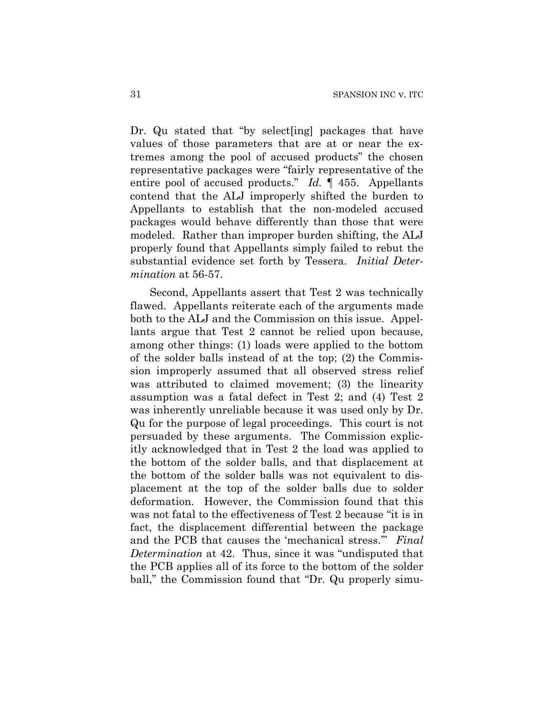Dr. Qu stated that "by select[ing] packages that have values of those parameters that are at or near the extremes among the pool of accused products" the chosen representative packages were "fairly representative of the entire pool of accused products." *Id.* ¶ 455. Appellants contend that the ALJ improperly shifted the burden to Appellants to establish that the non-modeled accused packages would behave differently than those that were modeled. Rather than improper burden shifting, the ALJ properly found that Appellants simply failed to rebut the substantial evidence set forth by Tessera. *Initial Determination* at 56-57.

Second, Appellants assert that Test 2 was technically flawed. Appellants reiterate each of the arguments made both to the ALJ and the Commission on this issue. Appellants argue that Test 2 cannot be relied upon because, among other things: (1) loads were applied to the bottom of the solder balls instead of at the top; (2) the Commission improperly assumed that all observed stress relief was attributed to claimed movement; (3) the linearity assumption was a fatal defect in Test 2; and (4) Test 2 was inherently unreliable because it was used only by Dr. Qu for the purpose of legal proceedings. This court is not persuaded by these arguments. The Commission explicitly acknowledged that in Test 2 the load was applied to the bottom of the solder balls, and that displacement at the bottom of the solder balls was not equivalent to displacement at the top of the solder balls due to solder deformation. However, the Commission found that this was not fatal to the effectiveness of Test 2 because "it is in fact, the displacement differential between the package and the PCB that causes the 'mechanical stress.'" *Final Determination* at 42. Thus, since it was "undisputed that the PCB applies all of its force to the bottom of the solder ball," the Commission found that "Dr. Qu properly simu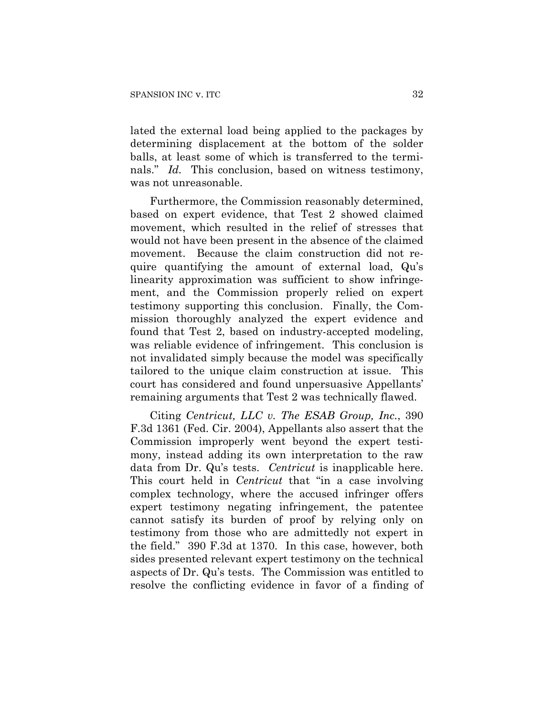lated the external load being applied to the packages by determining displacement at the bottom of the solder balls, at least some of which is transferred to the terminals." *Id.* This conclusion, based on witness testimony, was not unreasonable.

Furthermore, the Commission reasonably determined, based on expert evidence, that Test 2 showed claimed movement, which resulted in the relief of stresses that would not have been present in the absence of the claimed movement. Because the claim construction did not require quantifying the amount of external load, Qu's linearity approximation was sufficient to show infringement, and the Commission properly relied on expert testimony supporting this conclusion. Finally, the Commission thoroughly analyzed the expert evidence and found that Test 2, based on industry-accepted modeling, was reliable evidence of infringement. This conclusion is not invalidated simply because the model was specifically tailored to the unique claim construction at issue. This court has considered and found unpersuasive Appellants' remaining arguments that Test 2 was technically flawed.

Citing *Centricut, LLC v. The ESAB Group, Inc.*, 390 F.3d 1361 (Fed. Cir. 2004), Appellants also assert that the Commission improperly went beyond the expert testimony, instead adding its own interpretation to the raw data from Dr. Qu's tests. *Centricut* is inapplicable here. This court held in *Centricut* that "in a case involving complex technology, where the accused infringer offers expert testimony negating infringement, the patentee cannot satisfy its burden of proof by relying only on testimony from those who are admittedly not expert in the field." 390 F.3d at 1370. In this case, however, both sides presented relevant expert testimony on the technical aspects of Dr. Qu's tests. The Commission was entitled to resolve the conflicting evidence in favor of a finding of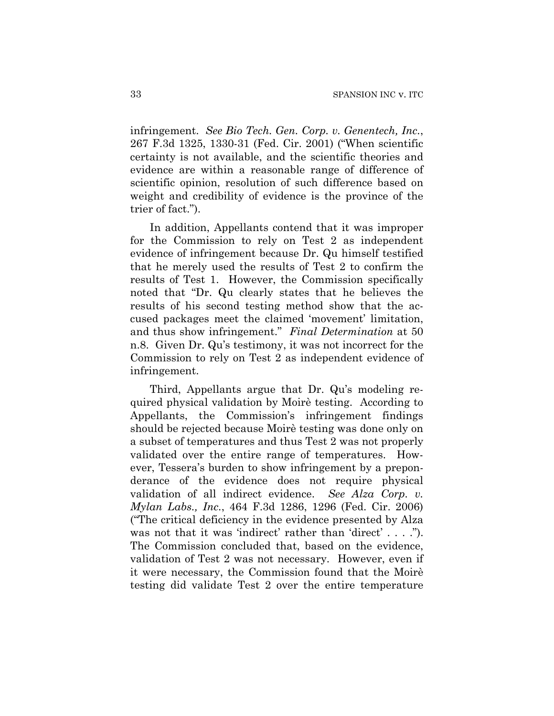infringement. *See Bio Tech. Gen. Corp. v. Genentech, Inc.*, 267 F.3d 1325, 1330-31 (Fed. Cir. 2001) ("When scientific certainty is not available, and the scientific theories and evidence are within a reasonable range of difference of scientific opinion, resolution of such difference based on weight and credibility of evidence is the province of the trier of fact.").

In addition, Appellants contend that it was improper for the Commission to rely on Test 2 as independent evidence of infringement because Dr. Qu himself testified that he merely used the results of Test 2 to confirm the results of Test 1. However, the Commission specifically noted that "Dr. Qu clearly states that he believes the results of his second testing method show that the accused packages meet the claimed 'movement' limitation, and thus show infringement." *Final Determination* at 50 n.8. Given Dr. Qu's testimony, it was not incorrect for the Commission to rely on Test 2 as independent evidence of infringement.

Third, Appellants argue that Dr. Qu's modeling required physical validation by Moirè testing. According to Appellants, the Commission's infringement findings should be rejected because Moirè testing was done only on a subset of temperatures and thus Test 2 was not properly validated over the entire range of temperatures. However, Tessera's burden to show infringement by a preponderance of the evidence does not require physical validation of all indirect evidence. *See Alza Corp. v. Mylan Labs., Inc.*, 464 F.3d 1286, 1296 (Fed. Cir. 2006) ("The critical deficiency in the evidence presented by Alza was not that it was 'indirect' rather than 'direct' . . . ."). The Commission concluded that, based on the evidence, validation of Test 2 was not necessary. However, even if it were necessary, the Commission found that the Moirè testing did validate Test 2 over the entire temperature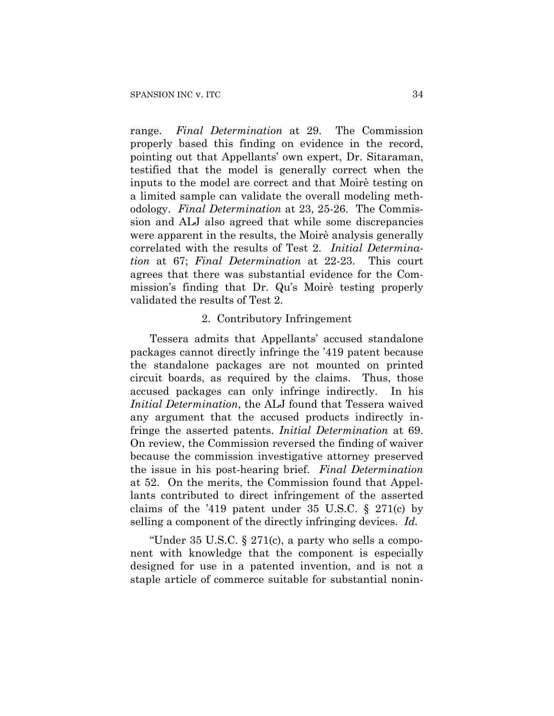range. *Final Determination* at 29. The Commission properly based this finding on evidence in the record, pointing out that Appellants' own expert, Dr. Sitaraman, testified that the model is generally correct when the inputs to the model are correct and that Moirè testing on a limited sample can validate the overall modeling methodology. *Final Determination* at 23, 25-26. The Commission and ALJ also agreed that while some discrepancies were apparent in the results, the Moirè analysis generally correlated with the results of Test 2. *Initial Determination* at 67; *Final Determination* at 22-23. This court agrees that there was substantial evidence for the Commission's finding that Dr. Qu's Moirè testing properly validated the results of Test 2.

## 2. Contributory Infringement

Tessera admits that Appellants' accused standalone packages cannot directly infringe the '419 patent because the standalone packages are not mounted on printed circuit boards, as required by the claims. Thus, those accused packages can only infringe indirectly. In his *Initial Determination*, the ALJ found that Tessera waived any argument that the accused products indirectly infringe the asserted patents. *Initial Determination* at 69. On review, the Commission reversed the finding of waiver because the commission investigative attorney preserved the issue in his post-hearing brief. *Final Determination* at 52. On the merits, the Commission found that Appellants contributed to direct infringement of the asserted claims of the '419 patent under 35 U.S.C.  $\S$  271(c) by selling a component of the directly infringing devices. *Id.*

"Under 35 U.S.C. § 271(c), a party who sells a component with knowledge that the component is especially designed for use in a patented invention, and is not a staple article of commerce suitable for substantial nonin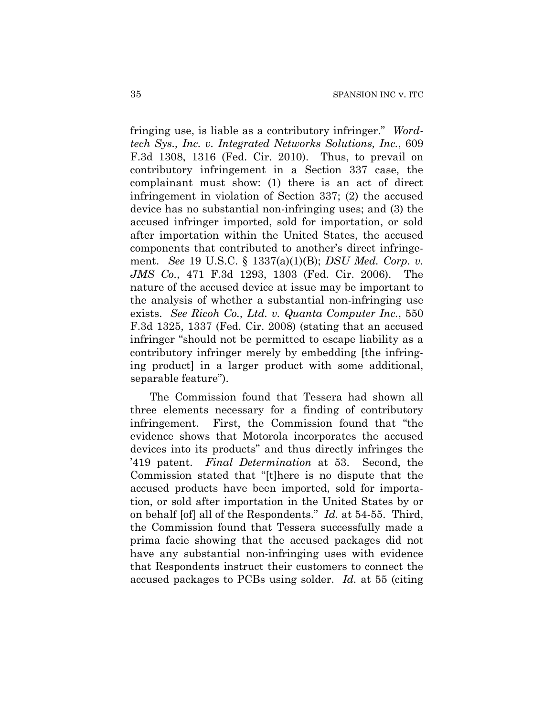fringing use, is liable as a contributory infringer." *Wordtech Sys., Inc. v. Integrated Networks Solutions, Inc.*, 609 F.3d 1308, 1316 (Fed. Cir. 2010). Thus, to prevail on contributory infringement in a Section 337 case, the complainant must show: (1) there is an act of direct infringement in violation of Section 337; (2) the accused device has no substantial non-infringing uses; and (3) the accused infringer imported, sold for importation, or sold after importation within the United States, the accused components that contributed to another's direct infringement. *See* 19 U.S.C. § 1337(a)(1)(B); *DSU Med. Corp. v. JMS Co.*, 471 F.3d 1293, 1303 (Fed. Cir. 2006). The nature of the accused device at issue may be important to the analysis of whether a substantial non-infringing use exists. *See Ricoh Co., Ltd. v. Quanta Computer Inc.*, 550 F.3d 1325, 1337 (Fed. Cir. 2008) (stating that an accused infringer "should not be permitted to escape liability as a contributory infringer merely by embedding [the infringing product] in a larger product with some additional, separable feature").

The Commission found that Tessera had shown all three elements necessary for a finding of contributory infringement. First, the Commission found that "the evidence shows that Motorola incorporates the accused devices into its products" and thus directly infringes the '419 patent. *Final Determination* at 53. Second, the Commission stated that "[t]here is no dispute that the accused products have been imported, sold for importation, or sold after importation in the United States by or on behalf [of] all of the Respondents." *Id.* at 54-55. Third, the Commission found that Tessera successfully made a prima facie showing that the accused packages did not have any substantial non-infringing uses with evidence that Respondents instruct their customers to connect the accused packages to PCBs using solder. *Id.* at 55 (citing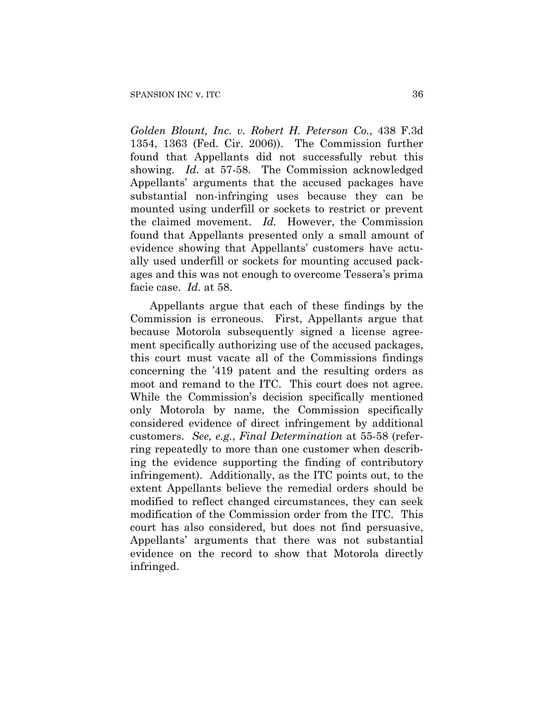*Golden Blount, Inc. v. Robert H. Peterson Co.*, 438 F.3d 1354, 1363 (Fed. Cir. 2006)). The Commission further found that Appellants did not successfully rebut this showing. *Id.* at 57-58. The Commission acknowledged Appellants' arguments that the accused packages have substantial non-infringing uses because they can be mounted using underfill or sockets to restrict or prevent the claimed movement. *Id.* However, the Commission found that Appellants presented only a small amount of evidence showing that Appellants' customers have actually used underfill or sockets for mounting accused packages and this was not enough to overcome Tessera's prima facie case. *Id.* at 58.

Appellants argue that each of these findings by the Commission is erroneous. First, Appellants argue that because Motorola subsequently signed a license agreement specifically authorizing use of the accused packages, this court must vacate all of the Commissions findings concerning the '419 patent and the resulting orders as moot and remand to the ITC. This court does not agree. While the Commission's decision specifically mentioned only Motorola by name, the Commission specifically considered evidence of direct infringement by additional customers. *See, e.g.*, *Final Determination* at 55-58 (referring repeatedly to more than one customer when describing the evidence supporting the finding of contributory infringement). Additionally, as the ITC points out, to the extent Appellants believe the remedial orders should be modified to reflect changed circumstances, they can seek modification of the Commission order from the ITC. This court has also considered, but does not find persuasive, Appellants' arguments that there was not substantial evidence on the record to show that Motorola directly infringed.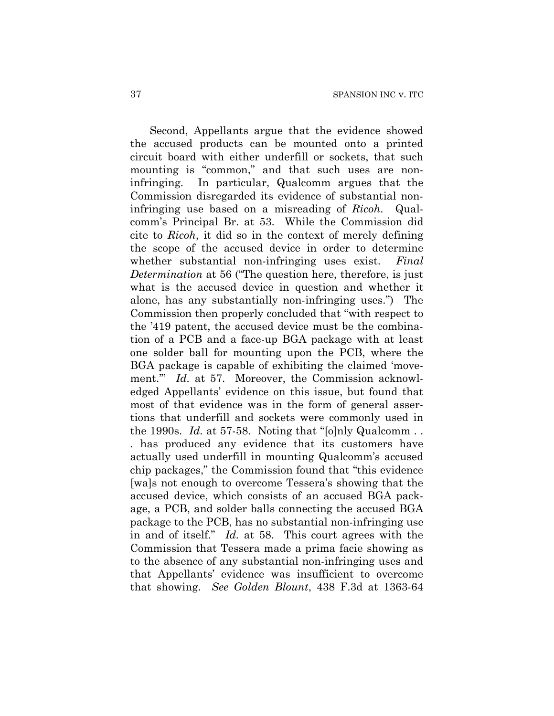Second, Appellants argue that the evidence showed the accused products can be mounted onto a printed circuit board with either underfill or sockets, that such mounting is "common," and that such uses are noninfringing. In particular, Qualcomm argues that the Commission disregarded its evidence of substantial noninfringing use based on a misreading of *Ricoh*. Qualcomm's Principal Br. at 53. While the Commission did cite to *Ricoh*, it did so in the context of merely defining the scope of the accused device in order to determine whether substantial non-infringing uses exist. *Final Determination* at 56 ("The question here, therefore, is just what is the accused device in question and whether it alone, has any substantially non-infringing uses.") The Commission then properly concluded that "with respect to the '419 patent, the accused device must be the combination of a PCB and a face-up BGA package with at least one solder ball for mounting upon the PCB, where the BGA package is capable of exhibiting the claimed 'movement.'" *Id.* at 57. Moreover, the Commission acknowledged Appellants' evidence on this issue, but found that most of that evidence was in the form of general assertions that underfill and sockets were commonly used in the 1990s. *Id.* at 57-58. Noting that "[o]nly Qualcomm . . . has produced any evidence that its customers have actually used underfill in mounting Qualcomm's accused chip packages," the Commission found that "this evidence [wa]s not enough to overcome Tessera's showing that the accused device, which consists of an accused BGA package, a PCB, and solder balls connecting the accused BGA package to the PCB, has no substantial non-infringing use in and of itself." *Id.* at 58. This court agrees with the Commission that Tessera made a prima facie showing as to the absence of any substantial non-infringing uses and that Appellants' evidence was insufficient to overcome that showing. *See Golden Blount*, 438 F.3d at 1363-64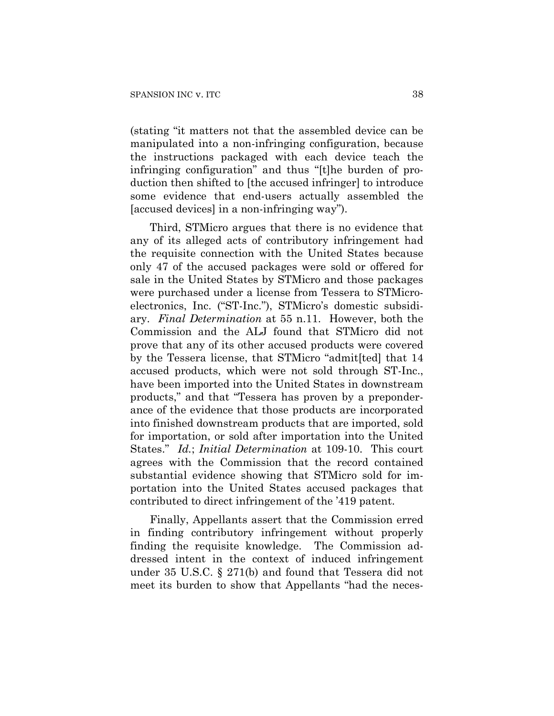(stating "it matters not that the assembled device can be manipulated into a non-infringing configuration, because the instructions packaged with each device teach the infringing configuration" and thus "[t]he burden of production then shifted to [the accused infringer] to introduce some evidence that end-users actually assembled the [accused devices] in a non-infringing way").

Third, STMicro argues that there is no evidence that any of its alleged acts of contributory infringement had the requisite connection with the United States because only 47 of the accused packages were sold or offered for sale in the United States by STMicro and those packages were purchased under a license from Tessera to STMicroelectronics, Inc. ("ST-Inc."), STMicro's domestic subsidiary. *Final Determination* at 55 n.11. However, both the Commission and the ALJ found that STMicro did not prove that any of its other accused products were covered by the Tessera license, that STMicro "admit[ted] that 14 accused products, which were not sold through ST-Inc., have been imported into the United States in downstream products," and that "Tessera has proven by a preponderance of the evidence that those products are incorporated into finished downstream products that are imported, sold for importation, or sold after importation into the United States." *Id.*; *Initial Determination* at 109-10. This court agrees with the Commission that the record contained substantial evidence showing that STMicro sold for importation into the United States accused packages that contributed to direct infringement of the '419 patent.

Finally, Appellants assert that the Commission erred in finding contributory infringement without properly finding the requisite knowledge. The Commission addressed intent in the context of induced infringement under 35 U.S.C. § 271(b) and found that Tessera did not meet its burden to show that Appellants "had the neces-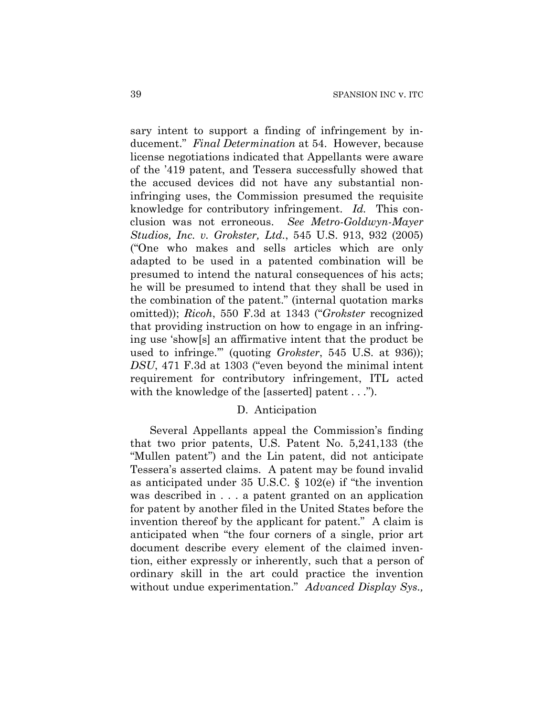sary intent to support a finding of infringement by inducement." *Final Determination* at 54. However, because license negotiations indicated that Appellants were aware of the '419 patent, and Tessera successfully showed that the accused devices did not have any substantial noninfringing uses, the Commission presumed the requisite knowledge for contributory infringement. *Id.* This conclusion was not erroneous. *See Metro-Goldwyn-Mayer Studios, Inc. v. Grokster, Ltd.*, 545 U.S. 913, 932 (2005) ("One who makes and sells articles which are only adapted to be used in a patented combination will be presumed to intend the natural consequences of his acts; he will be presumed to intend that they shall be used in the combination of the patent." (internal quotation marks omitted)); *Ricoh*, 550 F.3d at 1343 ("*Grokster* recognized that providing instruction on how to engage in an infringing use 'show[s] an affirmative intent that the product be used to infringe.'" (quoting *Grokster*, 545 U.S. at 936)); *DSU*, 471 F.3d at 1303 ("even beyond the minimal intent requirement for contributory infringement, ITL acted with the knowledge of the [asserted] patent . . .").

### D. Anticipation

Several Appellants appeal the Commission's finding that two prior patents, U.S. Patent No. 5,241,133 (the "Mullen patent") and the Lin patent, did not anticipate Tessera's asserted claims. A patent may be found invalid as anticipated under 35 U.S.C. § 102(e) if "the invention was described in . . . a patent granted on an application for patent by another filed in the United States before the invention thereof by the applicant for patent." A claim is anticipated when "the four corners of a single, prior art document describe every element of the claimed invention, either expressly or inherently, such that a person of ordinary skill in the art could practice the invention without undue experimentation." *Advanced Display Sys.,*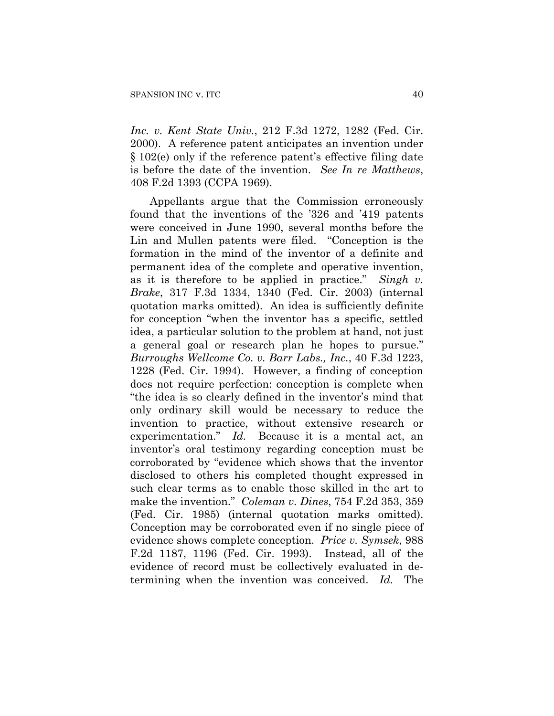*Inc. v. Kent State Univ.*, 212 F.3d 1272, 1282 (Fed. Cir. 2000). A reference patent anticipates an invention under § 102(e) only if the reference patent's effective filing date is before the date of the invention. *See In re Matthews*, 408 F.2d 1393 (CCPA 1969).

Appellants argue that the Commission erroneously found that the inventions of the '326 and '419 patents were conceived in June 1990, several months before the Lin and Mullen patents were filed. "Conception is the formation in the mind of the inventor of a definite and permanent idea of the complete and operative invention, as it is therefore to be applied in practice." *Singh v. Brake*, 317 F.3d 1334, 1340 (Fed. Cir. 2003) (internal quotation marks omitted). An idea is sufficiently definite for conception "when the inventor has a specific, settled idea, a particular solution to the problem at hand, not just a general goal or research plan he hopes to pursue." *Burroughs Wellcome Co. v. Barr Labs., Inc.*, 40 F.3d 1223, 1228 (Fed. Cir. 1994). However, a finding of conception does not require perfection: conception is complete when "the idea is so clearly defined in the inventor's mind that only ordinary skill would be necessary to reduce the invention to practice, without extensive research or experimentation." *Id.* Because it is a mental act, an inventor's oral testimony regarding conception must be corroborated by "evidence which shows that the inventor disclosed to others his completed thought expressed in such clear terms as to enable those skilled in the art to make the invention." *Coleman v. Dines*, 754 F.2d 353, 359 (Fed. Cir. 1985) (internal quotation marks omitted). Conception may be corroborated even if no single piece of evidence shows complete conception. *Price v. Symsek*, 988 F.2d 1187, 1196 (Fed. Cir. 1993). Instead, all of the evidence of record must be collectively evaluated in determining when the invention was conceived. *Id.* The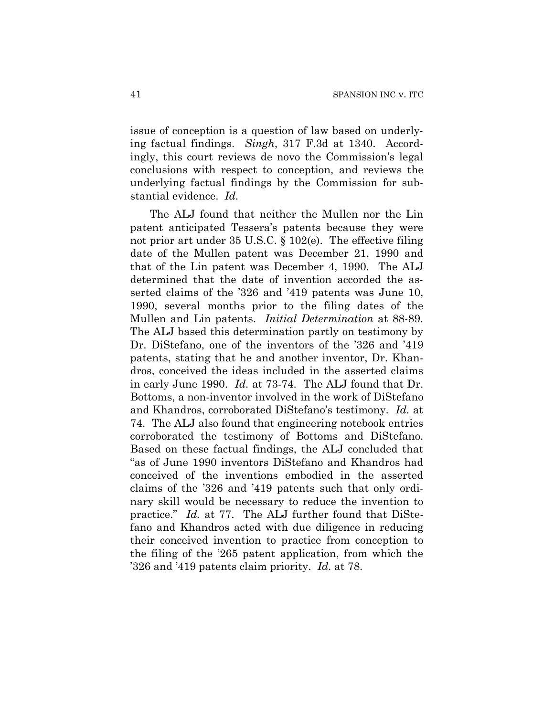issue of conception is a question of law based on underlying factual findings. *Singh*, 317 F.3d at 1340. Accordingly, this court reviews de novo the Commission's legal conclusions with respect to conception, and reviews the underlying factual findings by the Commission for substantial evidence. *Id.*

The ALJ found that neither the Mullen nor the Lin patent anticipated Tessera's patents because they were not prior art under 35 U.S.C. § 102(e). The effective filing date of the Mullen patent was December 21, 1990 and that of the Lin patent was December 4, 1990. The ALJ determined that the date of invention accorded the asserted claims of the '326 and '419 patents was June 10, 1990, several months prior to the filing dates of the Mullen and Lin patents. *Initial Determination* at 88-89. The ALJ based this determination partly on testimony by Dr. DiStefano, one of the inventors of the '326 and '419 patents, stating that he and another inventor, Dr. Khandros, conceived the ideas included in the asserted claims in early June 1990. *Id.* at 73-74. The ALJ found that Dr. Bottoms, a non-inventor involved in the work of DiStefano and Khandros, corroborated DiStefano's testimony. *Id.* at 74. The ALJ also found that engineering notebook entries corroborated the testimony of Bottoms and DiStefano. Based on these factual findings, the ALJ concluded that "as of June 1990 inventors DiStefano and Khandros had conceived of the inventions embodied in the asserted claims of the '326 and '419 patents such that only ordinary skill would be necessary to reduce the invention to practice." *Id.* at 77. The ALJ further found that DiStefano and Khandros acted with due diligence in reducing their conceived invention to practice from conception to the filing of the '265 patent application, from which the '326 and '419 patents claim priority. *Id.* at 78.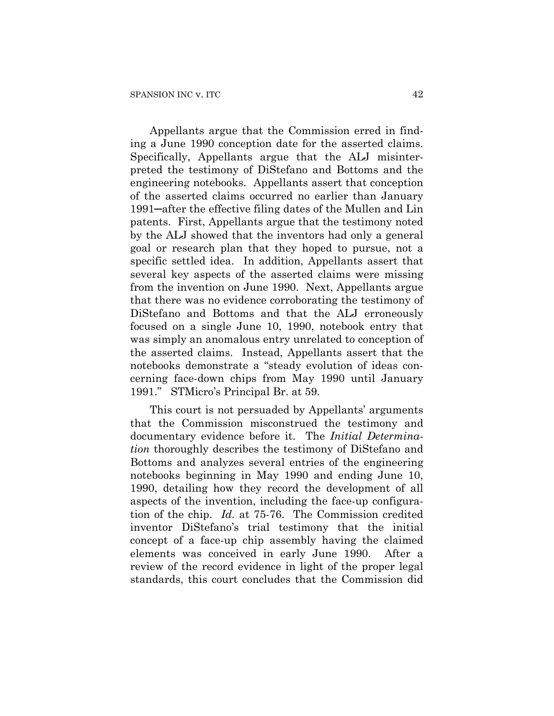Appellants argue that the Commission erred in finding a June 1990 conception date for the asserted claims. Specifically, Appellants argue that the ALJ misinterpreted the testimony of DiStefano and Bottoms and the engineering notebooks. Appellants assert that conception of the asserted claims occurred no earlier than January 1991─after the effective filing dates of the Mullen and Lin patents. First, Appellants argue that the testimony noted by the ALJ showed that the inventors had only a general goal or research plan that they hoped to pursue, not a specific settled idea. In addition, Appellants assert that several key aspects of the asserted claims were missing from the invention on June 1990. Next, Appellants argue that there was no evidence corroborating the testimony of DiStefano and Bottoms and that the ALJ erroneously focused on a single June 10, 1990, notebook entry that was simply an anomalous entry unrelated to conception of the asserted claims. Instead, Appellants assert that the notebooks demonstrate a "steady evolution of ideas concerning face-down chips from May 1990 until January 1991." STMicro's Principal Br. at 59.

This court is not persuaded by Appellants' arguments that the Commission misconstrued the testimony and documentary evidence before it. The *Initial Determination* thoroughly describes the testimony of DiStefano and Bottoms and analyzes several entries of the engineering notebooks beginning in May 1990 and ending June 10, 1990, detailing how they record the development of all aspects of the invention, including the face-up configuration of the chip. *Id.* at 75-76. The Commission credited inventor DiStefano's trial testimony that the initial concept of a face-up chip assembly having the claimed elements was conceived in early June 1990. After a review of the record evidence in light of the proper legal standards, this court concludes that the Commission did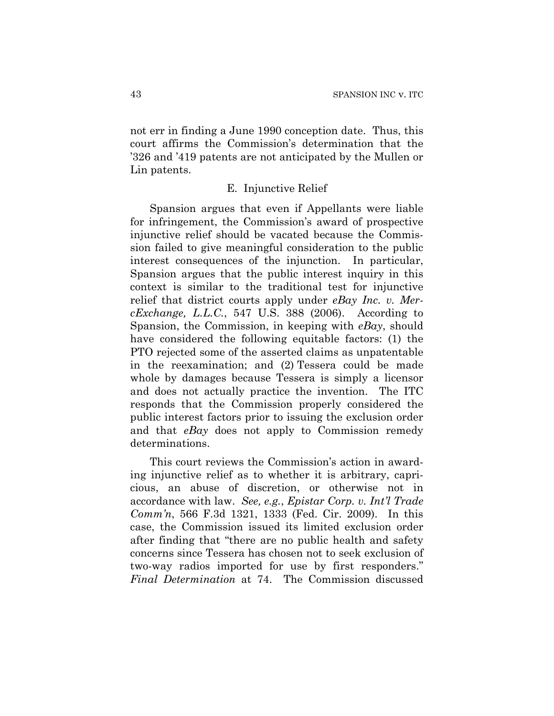not err in finding a June 1990 conception date. Thus, this court affirms the Commission's determination that the '326 and '419 patents are not anticipated by the Mullen or Lin patents.

# E. Injunctive Relief

Spansion argues that even if Appellants were liable for infringement, the Commission's award of prospective injunctive relief should be vacated because the Commission failed to give meaningful consideration to the public interest consequences of the injunction. In particular, Spansion argues that the public interest inquiry in this context is similar to the traditional test for injunctive relief that district courts apply under *eBay Inc. v. MercExchange, L.L.C.*, 547 U.S. 388 (2006). According to Spansion, the Commission, in keeping with *eBay*, should have considered the following equitable factors: (1) the PTO rejected some of the asserted claims as unpatentable in the reexamination; and (2) Tessera could be made whole by damages because Tessera is simply a licensor and does not actually practice the invention. The ITC responds that the Commission properly considered the public interest factors prior to issuing the exclusion order and that *eBay* does not apply to Commission remedy determinations.

This court reviews the Commission's action in awarding injunctive relief as to whether it is arbitrary, capricious, an abuse of discretion, or otherwise not in accordance with law. *See, e.g.*, *Epistar Corp. v. Int'l Trade Comm'n*, 566 F.3d 1321, 1333 (Fed. Cir. 2009). In this case, the Commission issued its limited exclusion order after finding that "there are no public health and safety concerns since Tessera has chosen not to seek exclusion of two-way radios imported for use by first responders." *Final Determination* at 74. The Commission discussed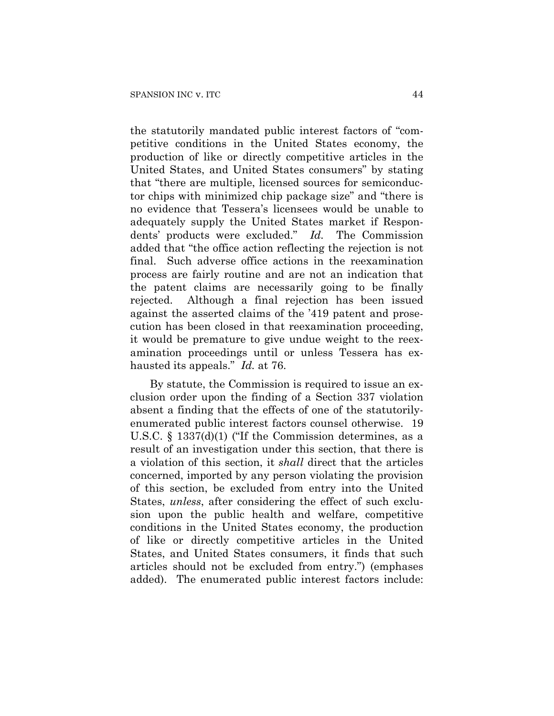the statutorily mandated public interest factors of "competitive conditions in the United States economy, the production of like or directly competitive articles in the United States, and United States consumers" by stating that "there are multiple, licensed sources for semiconductor chips with minimized chip package size" and "there is no evidence that Tessera's licensees would be unable to adequately supply the United States market if Respondents' products were excluded." *Id.* The Commission added that "the office action reflecting the rejection is not final. Such adverse office actions in the reexamination process are fairly routine and are not an indication that the patent claims are necessarily going to be finally rejected. Although a final rejection has been issued against the asserted claims of the '419 patent and prosecution has been closed in that reexamination proceeding, it would be premature to give undue weight to the reexamination proceedings until or unless Tessera has exhausted its appeals." *Id.* at 76.

By statute, the Commission is required to issue an exclusion order upon the finding of a Section 337 violation absent a finding that the effects of one of the statutorilyenumerated public interest factors counsel otherwise. 19 U.S.C. § 1337(d)(1) ("If the Commission determines, as a result of an investigation under this section, that there is a violation of this section, it *shall* direct that the articles concerned, imported by any person violating the provision of this section, be excluded from entry into the United States, *unless*, after considering the effect of such exclusion upon the public health and welfare, competitive conditions in the United States economy, the production of like or directly competitive articles in the United States, and United States consumers, it finds that such articles should not be excluded from entry.") (emphases added). The enumerated public interest factors include: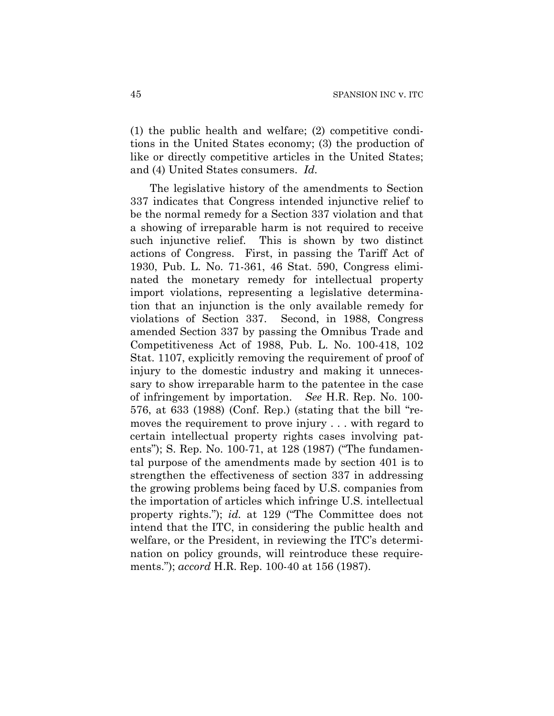(1) the public health and welfare; (2) competitive conditions in the United States economy; (3) the production of like or directly competitive articles in the United States; and (4) United States consumers. *Id.* 

The legislative history of the amendments to Section 337 indicates that Congress intended injunctive relief to be the normal remedy for a Section 337 violation and that a showing of irreparable harm is not required to receive such injunctive relief. This is shown by two distinct actions of Congress. First, in passing the Tariff Act of 1930, Pub. L. No. 71-361, 46 Stat. 590, Congress eliminated the monetary remedy for intellectual property import violations, representing a legislative determination that an injunction is the only available remedy for violations of Section 337. Second, in 1988, Congress amended Section 337 by passing the Omnibus Trade and Competitiveness Act of 1988, Pub. L. No. 100-418, 102 Stat. 1107, explicitly removing the requirement of proof of injury to the domestic industry and making it unnecessary to show irreparable harm to the patentee in the case of infringement by importation. *See* H.R. Rep. No. 100- 576, at 633 (1988) (Conf. Rep.) (stating that the bill "removes the requirement to prove injury . . . with regard to certain intellectual property rights cases involving patents"); S. Rep. No. 100-71, at 128 (1987) ("The fundamental purpose of the amendments made by section 401 is to strengthen the effectiveness of section 337 in addressing the growing problems being faced by U.S. companies from the importation of articles which infringe U.S. intellectual property rights."); *id.* at 129 ("The Committee does not intend that the ITC, in considering the public health and welfare, or the President, in reviewing the ITC's determination on policy grounds, will reintroduce these requirements."); *accord* H.R. Rep. 100-40 at 156 (1987).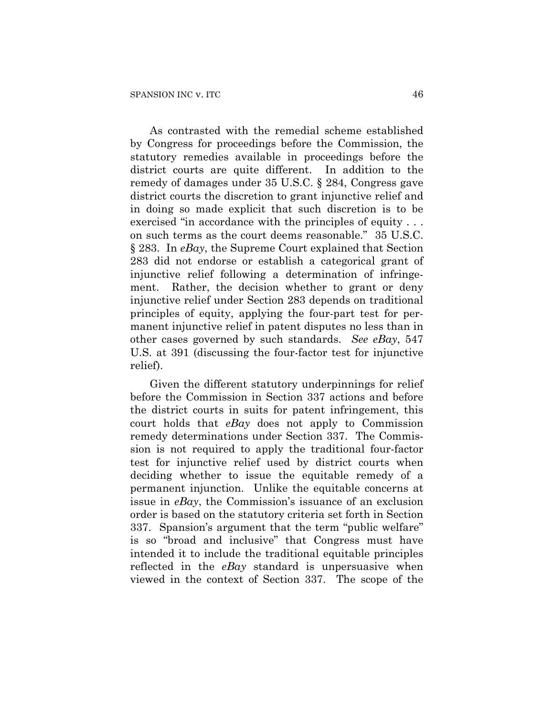As contrasted with the remedial scheme established by Congress for proceedings before the Commission, the statutory remedies available in proceedings before the district courts are quite different. In addition to the remedy of damages under 35 U.S.C. § 284, Congress gave district courts the discretion to grant injunctive relief and in doing so made explicit that such discretion is to be exercised "in accordance with the principles of equity . . . on such terms as the court deems reasonable." 35 U.S.C. § 283. In *eBay*, the Supreme Court explained that Section 283 did not endorse or establish a categorical grant of injunctive relief following a determination of infringement. Rather, the decision whether to grant or deny injunctive relief under Section 283 depends on traditional principles of equity, applying the four-part test for permanent injunctive relief in patent disputes no less than in other cases governed by such standards. *See eBay*, 547 U.S. at 391 (discussing the four-factor test for injunctive relief).

Given the different statutory underpinnings for relief before the Commission in Section 337 actions and before the district courts in suits for patent infringement, this court holds that *eBay* does not apply to Commission remedy determinations under Section 337. The Commission is not required to apply the traditional four-factor test for injunctive relief used by district courts when deciding whether to issue the equitable remedy of a permanent injunction. Unlike the equitable concerns at issue in *eBay*, the Commission's issuance of an exclusion order is based on the statutory criteria set forth in Section 337. Spansion's argument that the term "public welfare" is so "broad and inclusive" that Congress must have intended it to include the traditional equitable principles reflected in the *eBay* standard is unpersuasive when viewed in the context of Section 337. The scope of the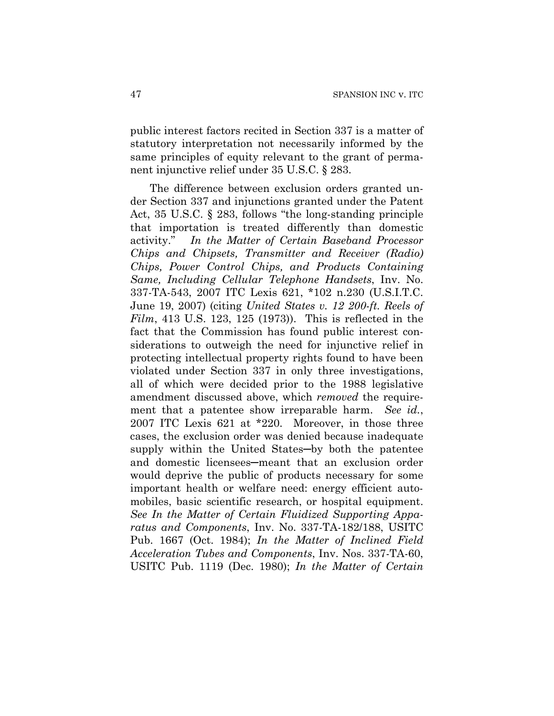public interest factors recited in Section 337 is a matter of statutory interpretation not necessarily informed by the same principles of equity relevant to the grant of permanent injunctive relief under 35 U.S.C. § 283.

The difference between exclusion orders granted under Section 337 and injunctions granted under the Patent Act, 35 U.S.C. § 283, follows "the long-standing principle that importation is treated differently than domestic activity." *In the Matter of Certain Baseband Processor Chips and Chipsets, Transmitter and Receiver (Radio) Chips, Power Control Chips, and Products Containing Same, Including Cellular Telephone Handsets*, Inv. No. 337-TA-543, 2007 ITC Lexis 621, \*102 n.230 (U.S.I.T.C. June 19, 2007) (citing *United States v. 12 200-ft. Reels of Film*, 413 U.S. 123, 125 (1973)). This is reflected in the fact that the Commission has found public interest considerations to outweigh the need for injunctive relief in protecting intellectual property rights found to have been violated under Section 337 in only three investigations, all of which were decided prior to the 1988 legislative amendment discussed above, which *removed* the requirement that a patentee show irreparable harm. *See id.*, 2007 ITC Lexis 621 at \*220. Moreover, in those three cases, the exclusion order was denied because inadequate supply within the United States─by both the patentee and domestic licensees─meant that an exclusion order would deprive the public of products necessary for some important health or welfare need: energy efficient automobiles, basic scientific research, or hospital equipment. *See In the Matter of Certain Fluidized Supporting Apparatus and Components*, Inv. No. 337-TA-182/188, USITC Pub. 1667 (Oct. 1984); *In the Matter of Inclined Field Acceleration Tubes and Components*, Inv. Nos. 337-TA-60, USITC Pub. 1119 (Dec. 1980); *In the Matter of Certain*